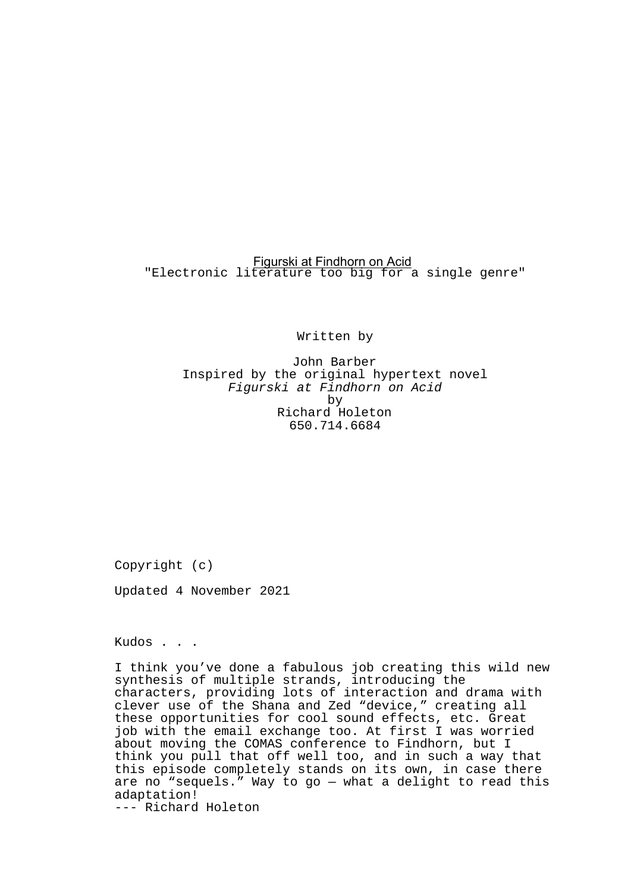# Figurski at Findhorn on Acid "Electronic literature too big for a single genre"

Written by

John Barber Inspired by the original hypertext novel Figurski at Findhorn on Acid by Richard Holeton 650.714.6684

Copyright (c)

Updated 4 November 2021

Kudos . . .

I think you've done a fabulous job creating this wild new synthesis of multiple strands, introducing the characters, providing lots of interaction and drama with clever use of the Shana and Zed "device," creating all these opportunities for cool sound effects, etc. Great job with the email exchange too. At first I was worried about moving the COMAS conference to Findhorn, but I think you pull that off well too, and in such a way that this episode completely stands on its own, in case there are no "sequels." Way to go — what a delight to read this adaptation! --- Richard Holeton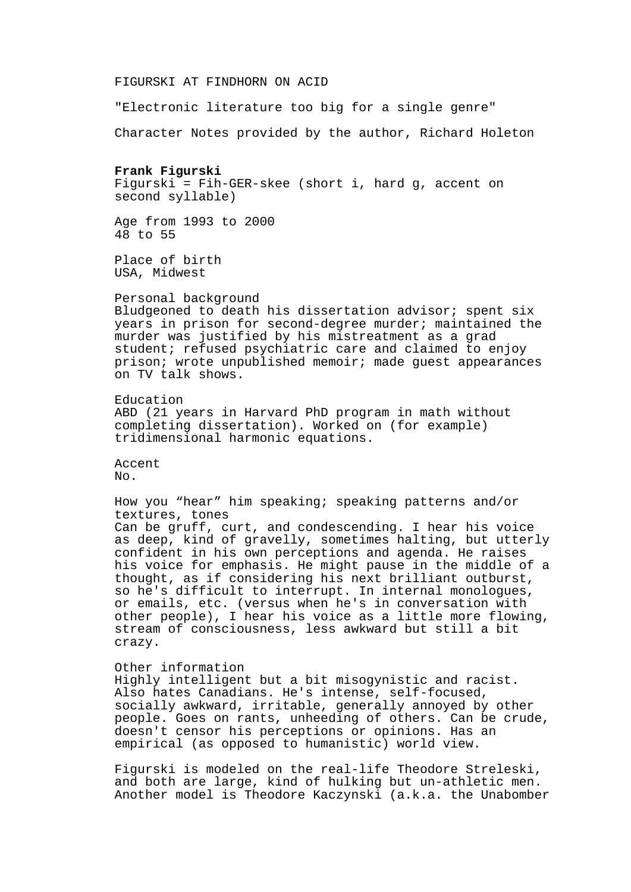FIGURSKI AT FINDHORN ON ACID

"Electronic literature too big for a single genre"

Character Notes provided by the author, Richard Holeton

# **Frank Figurski**

Figurski = Fih-GER-skee (short i, hard g, accent on second syllable)

Age from 1993 to 2000 48 to 55

Place of birth USA, Midwest

Personal background

Bludgeoned to death his dissertation advisor; spent six years in prison for second-degree murder; maintained the murder was justified by his mistreatment as a grad student; refused psychiatric care and claimed to enjoy prison; wrote unpublished memoir; made guest appearances on TV talk shows.

Education ABD (21 years in Harvard PhD program in math without completing dissertation). Worked on (for example) tridimensional harmonic equations.

Accent No.

How you "hear" him speaking; speaking patterns and/or textures, tones Can be gruff, curt, and condescending. I hear his voice as deep, kind of gravelly, sometimes halting, but utterly confident in his own perceptions and agenda. He raises his voice for emphasis. He might pause in the middle of a thought, as if considering his next brilliant outburst, so he's difficult to interrupt. In internal monologues, or emails, etc. (versus when he's in conversation with other people), I hear his voice as a little more flowing, stream of consciousness, less awkward but still a bit crazy.

Other information

Highly intelligent but a bit misogynistic and racist. Also hates Canadians. He's intense, self-focused, socially awkward, irritable, generally annoyed by other people. Goes on rants, unheeding of others. Can be crude, doesn't censor his perceptions or opinions. Has an empirical (as opposed to humanistic) world view.

Figurski is modeled on the real-life Theodore Streleski, and both are large, kind of hulking but un-athletic men. Another model is Theodore Kaczynski (a.k.a. the Unabomber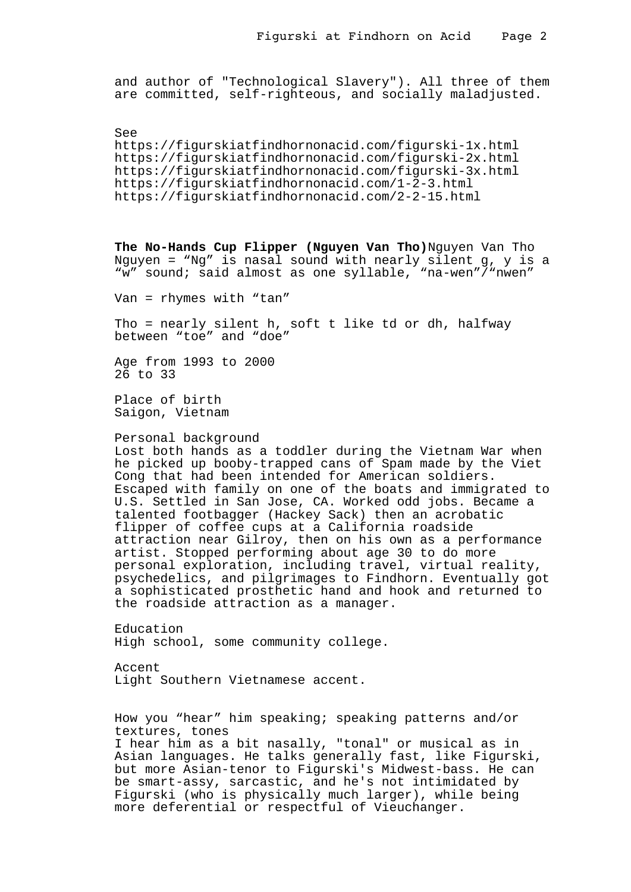and author of "Technological Slavery"). All three of them are committed, self-righteous, and socially maladjusted.

See https://figurskiatfindhornonacid.com/figurski-1x.html https://figurskiatfindhornonacid.com/figurski-2x.html https://figurskiatfindhornonacid.com/figurski-3x.html https://figurskiatfindhornonacid.com/1-2-3.html https://figurskiatfindhornonacid.com/2-2-15.html

**The No-Hands Cup Flipper (Nguyen Van Tho)**Nguyen Van Tho Nguyen = "Ng" is nasal sound with nearly silent g, y is a "w" sound; said almost as one syllable, "na-wen"/"nwen"

Van = rhymes with "tan"

Tho = nearly silent h, soft t like td or dh, halfway between "toe" and "doe"

Age from 1993 to 2000 26 to 33

Place of birth Saigon, Vietnam

Personal background

Lost both hands as a toddler during the Vietnam War when he picked up booby-trapped cans of Spam made by the Viet Cong that had been intended for American soldiers. Escaped with family on one of the boats and immigrated to U.S. Settled in San Jose, CA. Worked odd jobs. Became a talented footbagger (Hackey Sack) then an acrobatic flipper of coffee cups at a California roadside attraction near Gilroy, then on his own as a performance artist. Stopped performing about age 30 to do more personal exploration, including travel, virtual reality, psychedelics, and pilgrimages to Findhorn. Eventually got a sophisticated prosthetic hand and hook and returned to the roadside attraction as a manager.

Education High school, some community college.

Accent Light Southern Vietnamese accent.

How you "hear" him speaking; speaking patterns and/or textures, tones I hear him as a bit nasally, "tonal" or musical as in Asian languages. He talks generally fast, like Figurski, but more Asian-tenor to Figurski's Midwest-bass. He can be smart-assy, sarcastic, and he's not intimidated by Figurski (who is physically much larger), while being more deferential or respectful of Vieuchanger.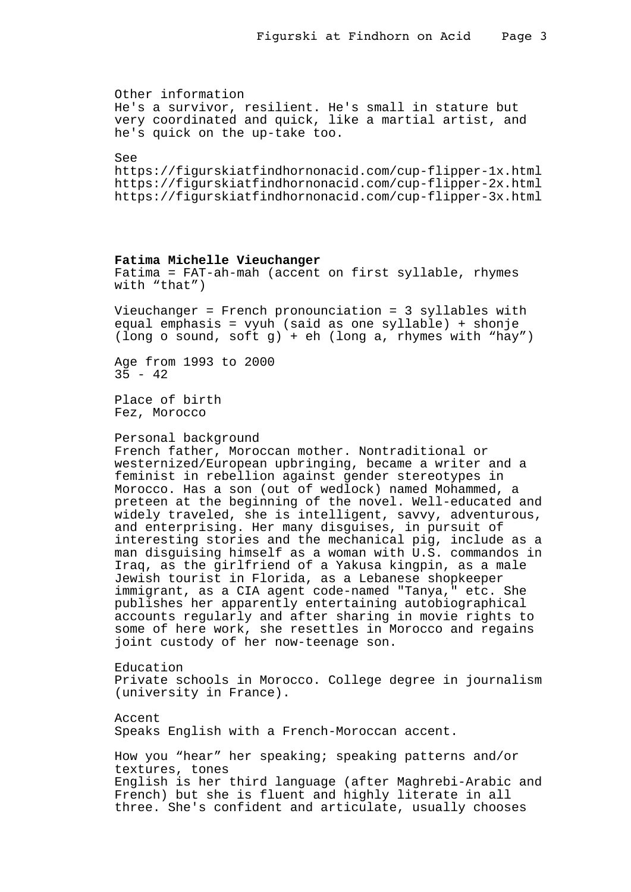```
Other information
He's a survivor, resilient. He's small in stature but
very coordinated and quick, like a martial artist, and
he's quick on the up-take too.
See
https://figurskiatfindhornonacid.com/cup-flipper-1x.html
https://figurskiatfindhornonacid.com/cup-flipper-2x.html
https://figurskiatfindhornonacid.com/cup-flipper-3x.html
Fatima Michelle Vieuchanger
Fatima = FAT-ah-mah (accent on first syllable, rhymes
with "that")
Vieuchanger = French pronounciation = 3 syllables with
equal emphasis = vyuh (said as one syllable) + shonje
(long o sound, soft g) + eh (long a, rhymes with "hay")
Age from 1993 to 2000
35 - 42Place of birth
Fez, Morocco
Personal background
French father, Moroccan mother. Nontraditional or
westernized/European upbringing, became a writer and a
feminist in rebellion against gender stereotypes in
Morocco. Has a son (out of wedlock) named Mohammed, a
preteen at the beginning of the novel. Well-educated and
widely traveled, she is intelligent, savvy, adventurous,
and enterprising. Her many disguises, in pursuit of
interesting stories and the mechanical pig, include as a
man disguising himself as a woman with U.S. commandos in
Iraq, as the girlfriend of a Yakusa kingpin, as a male
Jewish tourist in Florida, as a Lebanese shopkeeper
immigrant, as a CIA agent code-named "Tanya," etc. She
publishes her apparently entertaining autobiographical
accounts regularly and after sharing in movie rights to
some of here work, she resettles in Morocco and regains
joint custody of her now-teenage son.
Education
Private schools in Morocco. College degree in journalism
(university in France).
Accent
Speaks English with a French-Moroccan accent.
How you "hear" her speaking; speaking patterns and/or
textures, tones
English is her third language (after Maghrebi-Arabic and
French) but she is fluent and highly literate in all
three. She's confident and articulate, usually chooses
```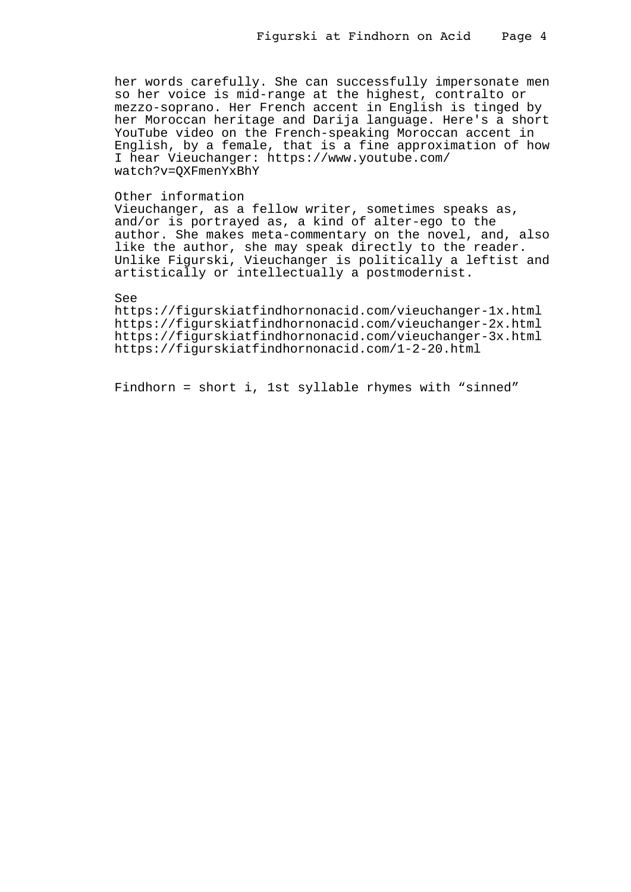her words carefully. She can successfully impersonate men so her voice is mid-range at the highest, contralto or mezzo-soprano. Her French accent in English is tinged by her Moroccan heritage and Darija language. Here's a short YouTube video on the French-speaking Moroccan accent in English, by a female, that is a fine approximation of how I hear Vieuchanger: https://www.youtube.com/ watch?v=QXFmenYxBhY

### Other information

Vieuchanger, as a fellow writer, sometimes speaks as, and/or is portrayed as, a kind of alter-ego to the author. She makes meta-commentary on the novel, and, also like the author, she may speak directly to the reader. Unlike Figurski, Vieuchanger is politically a leftist and artistically or intellectually a postmodernist.

# See

https://figurskiatfindhornonacid.com/vieuchanger-1x.html https://figurskiatfindhornonacid.com/vieuchanger-2x.html https://figurskiatfindhornonacid.com/vieuchanger-3x.html https://figurskiatfindhornonacid.com/1-2-20.html

Findhorn = short i, 1st syllable rhymes with "sinned"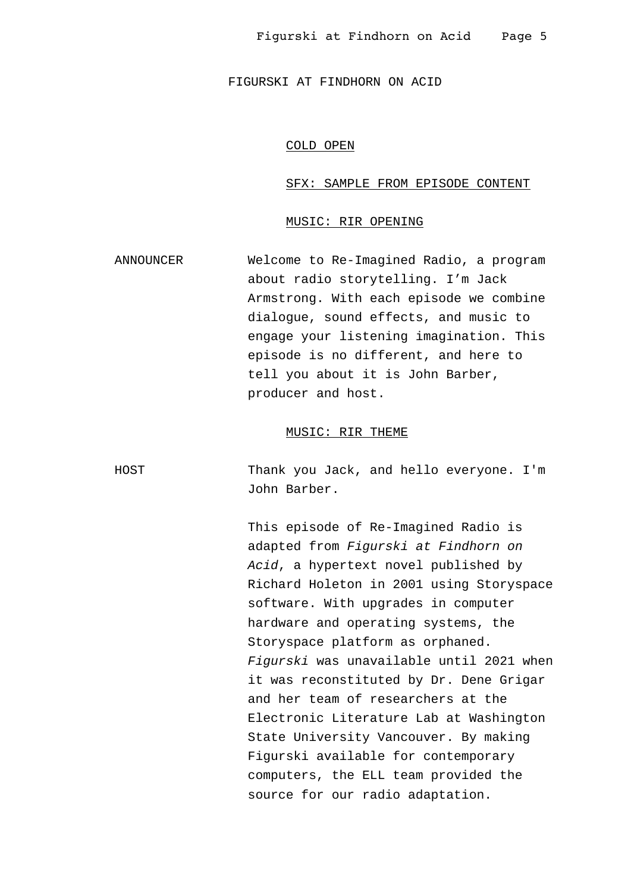# COLD OPEN

#### SFX: SAMPLE FROM EPISODE CONTENT

# MUSIC: RIR OPENING

ANNOUNCER Welcome to Re-Imagined Radio, a program about radio storytelling. I'm Jack Armstrong. With each episode we combine dialogue, sound effects, and music to engage your listening imagination. This episode is no different, and here to tell you about it is John Barber, producer and host.

# MUSIC: RIR THEME

HOST Thank you Jack, and hello everyone. I'm John Barber.

> This episode of Re-Imagined Radio is adapted from Figurski at Findhorn on Acid, a hypertext novel published by Richard Holeton in 2001 using Storyspace software. With upgrades in computer hardware and operating systems, the Storyspace platform as orphaned. Figurski was unavailable until 2021 when it was reconstituted by Dr. Dene Grigar and her team of researchers at the Electronic Literature Lab at Washington State University Vancouver. By making Figurski available for contemporary computers, the ELL team provided the source for our radio adaptation.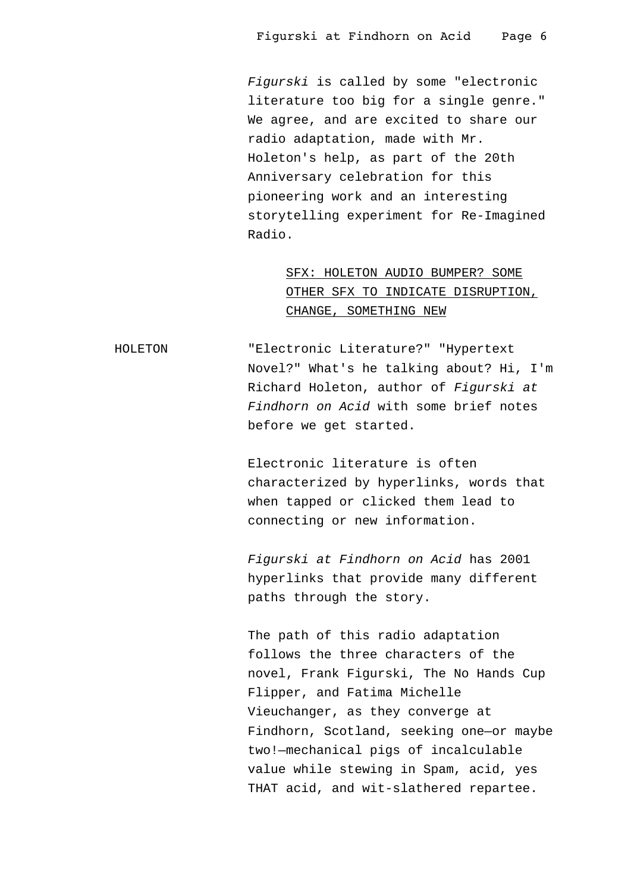Figurski is called by some "electronic literature too big for a single genre." We agree, and are excited to share our radio adaptation, made with Mr. Holeton's help, as part of the 20th Anniversary celebration for this pioneering work and an interesting storytelling experiment for Re-Imagined Radio.

> SFX: HOLETON AUDIO BUMPER? SOME OTHER SFX TO INDICATE DISRUPTION, CHANGE, SOMETHING NEW

HOLETON "Electronic Literature?" "Hypertext Novel?" What's he talking about? Hi, I'm Richard Holeton, author of Figurski at Findhorn on Acid with some brief notes before we get started.

> Electronic literature is often characterized by hyperlinks, words that when tapped or clicked them lead to connecting or new information.

Figurski at Findhorn on Acid has 2001 hyperlinks that provide many different paths through the story.

The path of this radio adaptation follows the three characters of the novel, Frank Figurski, The No Hands Cup Flipper, and Fatima Michelle Vieuchanger, as they converge at Findhorn, Scotland, seeking one—or maybe two!—mechanical pigs of incalculable value while stewing in Spam, acid, yes THAT acid, and wit-slathered repartee.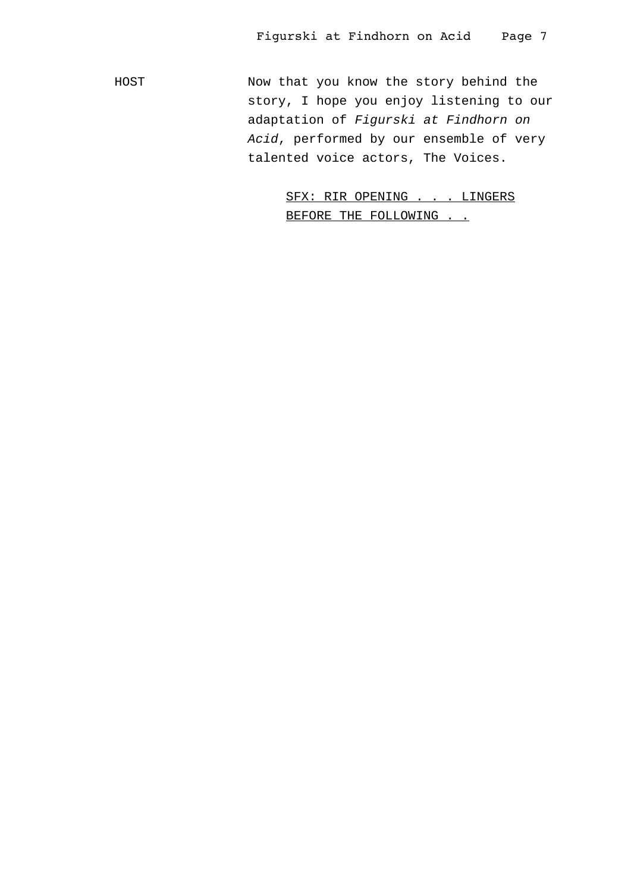HOST Now that you know the story behind the story, I hope you enjoy listening to our adaptation of Figurski at Findhorn on Acid, performed by our ensemble of very talented voice actors, The Voices.

> SFX: RIR OPENING . . . LINGERS BEFORE THE FOLLOWING . .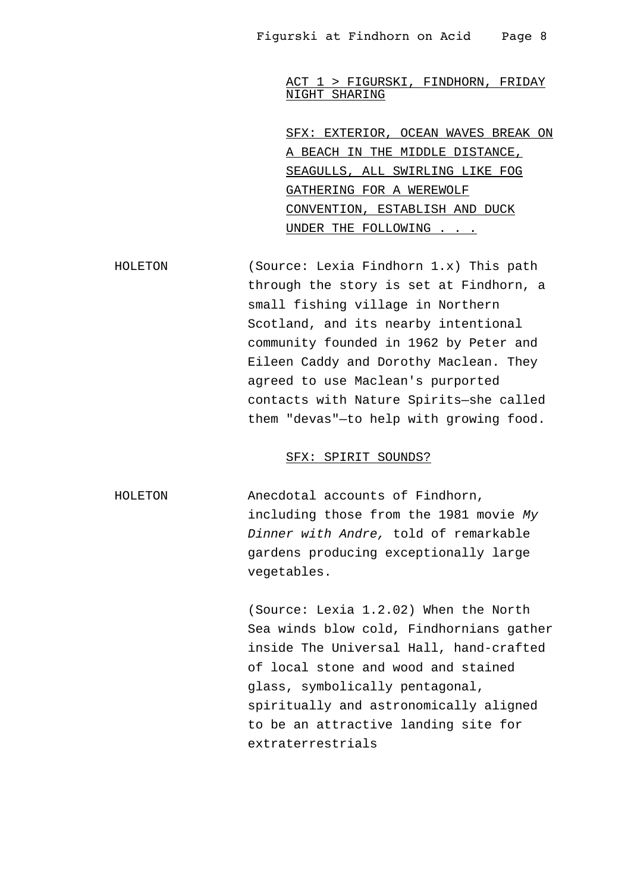ACT 1 > FIGURSKI, FINDHORN, FRIDAY NIGHT SHARING

SFX: EXTERIOR, OCEAN WAVES BREAK ON A BEACH IN THE MIDDLE DISTANCE, SEAGULLS, ALL SWIRLING LIKE FOG GATHERING FOR A WEREWOLF CONVENTION, ESTABLISH AND DUCK UNDER THE FOLLOWING . . .

HOLETON (Source: Lexia Findhorn 1.x) This path through the story is set at Findhorn, a small fishing village in Northern Scotland, and its nearby intentional community founded in 1962 by Peter and Eileen Caddy and Dorothy Maclean. They agreed to use Maclean's purported contacts with Nature Spirits—she called them "devas"—to help with growing food.

#### SFX: SPIRIT SOUNDS?

HOLETON Anecdotal accounts of Findhorn, including those from the 1981 movie My Dinner with Andre, told of remarkable gardens producing exceptionally large vegetables.

> (Source: Lexia 1.2.02) When the North Sea winds blow cold, Findhornians gather inside The Universal Hall, hand-crafted of local stone and wood and stained glass, symbolically pentagonal, spiritually and astronomically aligned to be an attractive landing site for extraterrestrials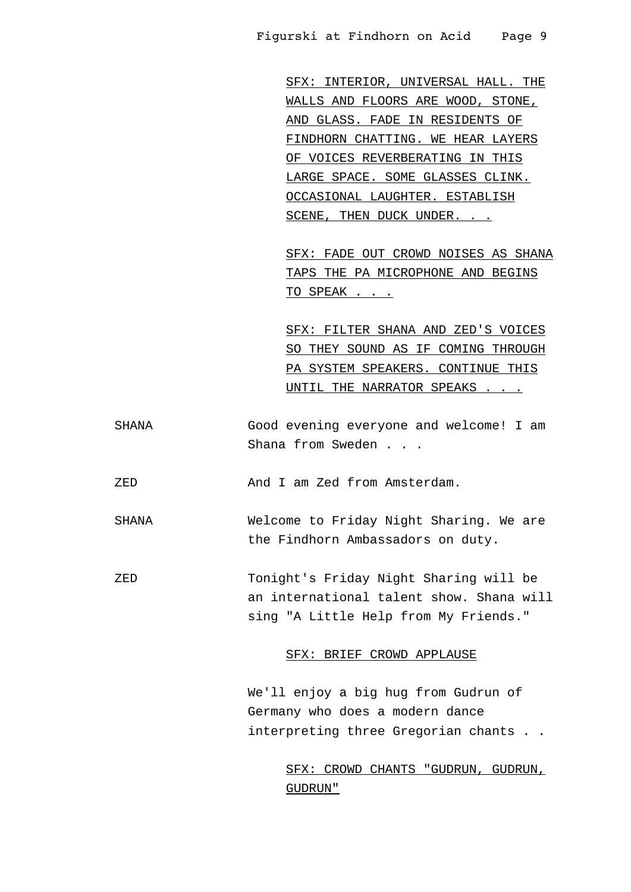SFX: INTERIOR, UNIVERSAL HALL. THE WALLS AND FLOORS ARE WOOD, STONE, AND GLASS. FADE IN RESIDENTS OF FINDHORN CHATTING. WE HEAR LAYERS OF VOICES REVERBERATING IN THIS LARGE SPACE. SOME GLASSES CLINK. OCCASIONAL LAUGHTER. ESTABLISH SCENE, THEN DUCK UNDER. . .

SFX: FADE OUT CROWD NOISES AS SHANA TAPS THE PA MICROPHONE AND BEGINS TO SPEAK . . .

SFX: FILTER SHANA AND ZED'S VOICES SO THEY SOUND AS IF COMING THROUGH PA SYSTEM SPEAKERS. CONTINUE THIS UNTIL THE NARRATOR SPEAKS . . .

SHANA Good evening everyone and welcome! I am Shana from Sweden . . .

ZED And I am Zed from Amsterdam.

SHANA Welcome to Friday Night Sharing. We are the Findhorn Ambassadors on duty.

ZED Tonight's Friday Night Sharing will be an international talent show. Shana will sing "A Little Help from My Friends."

## SFX: BRIEF CROWD APPLAUSE

We'll enjoy a big hug from Gudrun of Germany who does a modern dance interpreting three Gregorian chants . .

> SFX: CROWD CHANTS "GUDRUN, GUDRUN, GUDRUN"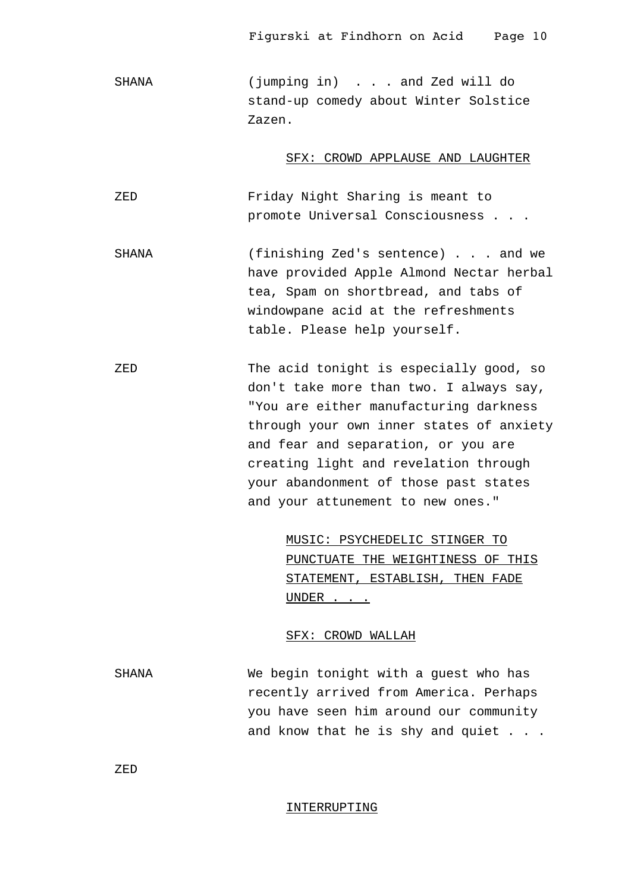SHANA (jumping in) . . . and Zed will do stand-up comedy about Winter Solstice Zazen.

#### SFX: CROWD APPLAUSE AND LAUGHTER

ZED Friday Night Sharing is meant to promote Universal Consciousness . . .

SHANA (finishing Zed's sentence) . . . and we have provided Apple Almond Nectar herbal tea, Spam on shortbread, and tabs of windowpane acid at the refreshments table. Please help yourself.

ZED The acid tonight is especially good, so don't take more than two. I always say, "You are either manufacturing darkness through your own inner states of anxiety and fear and separation, or you are creating light and revelation through your abandonment of those past states and your attunement to new ones."

> MUSIC: PSYCHEDELIC STINGER TO PUNCTUATE THE WEIGHTINESS OF THIS STATEMENT, ESTABLISH, THEN FADE UNDER . . .

# SFX: CROWD WALLAH

SHANA We begin tonight with a guest who has recently arrived from America. Perhaps you have seen him around our community and know that he is shy and quiet . . .

ZED

#### INTERRUPTING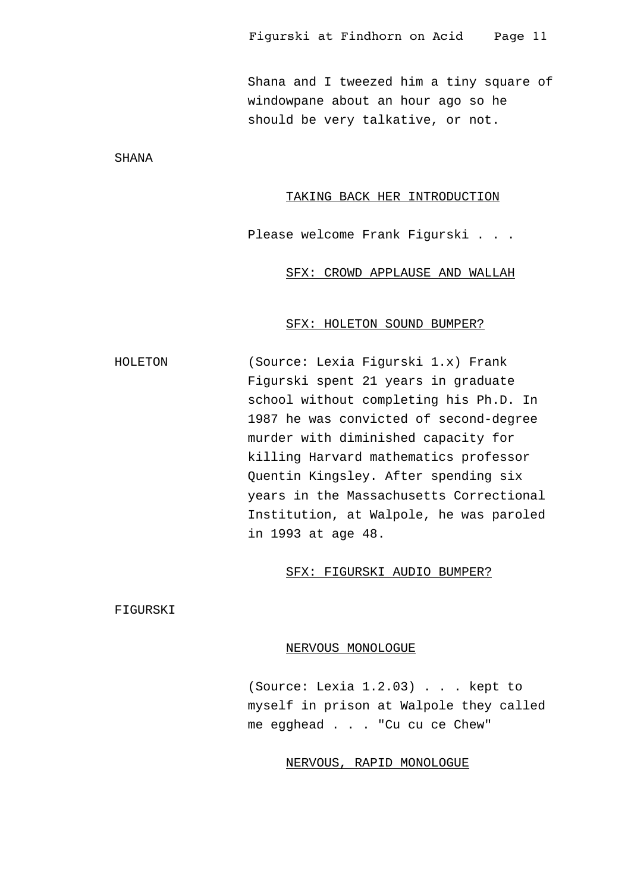Shana and I tweezed him a tiny square of windowpane about an hour ago so he should be very talkative, or not.

SHANA

### TAKING BACK HER INTRODUCTION

Please welcome Frank Figurski . . .

SFX: CROWD APPLAUSE AND WALLAH

#### SFX: HOLETON SOUND BUMPER?

HOLETON (Source: Lexia Figurski 1.x) Frank Figurski spent 21 years in graduate school without completing his Ph.D. In 1987 he was convicted of second-degree murder with diminished capacity for killing Harvard mathematics professor Quentin Kingsley. After spending six years in the Massachusetts Correctional Institution, at Walpole, he was paroled in 1993 at age 48.

# SFX: FIGURSKI AUDIO BUMPER?

FIGURSKI

#### NERVOUS MONOLOGUE

(Source: Lexia 1.2.03) . . . kept to myself in prison at Walpole they called me egghead . . . "Cu cu ce Chew"

# NERVOUS, RAPID MONOLOGUE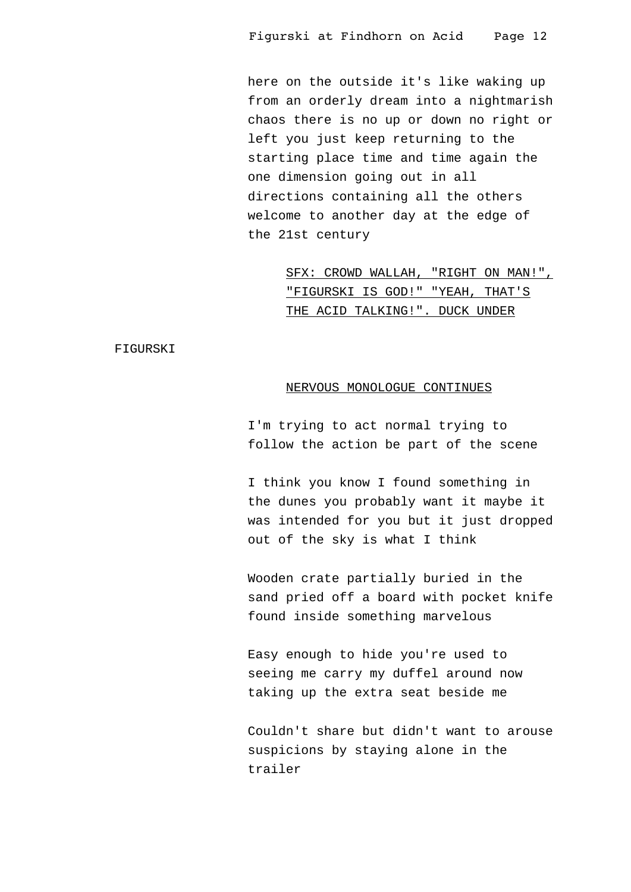here on the outside it's like waking up from an orderly dream into a nightmarish chaos there is no up or down no right or left you just keep returning to the starting place time and time again the one dimension going out in all directions containing all the others welcome to another day at the edge of the 21st century

> SFX: CROWD WALLAH, "RIGHT ON MAN!", "FIGURSKI IS GOD!" "YEAH, THAT'S THE ACID TALKING!". DUCK UNDER

FIGURSKI

#### NERVOUS MONOLOGUE CONTINUES

I'm trying to act normal trying to follow the action be part of the scene

I think you know I found something in the dunes you probably want it maybe it was intended for you but it just dropped out of the sky is what I think

Wooden crate partially buried in the sand pried off a board with pocket knife found inside something marvelous

Easy enough to hide you're used to seeing me carry my duffel around now taking up the extra seat beside me

Couldn't share but didn't want to arouse suspicions by staying alone in the trailer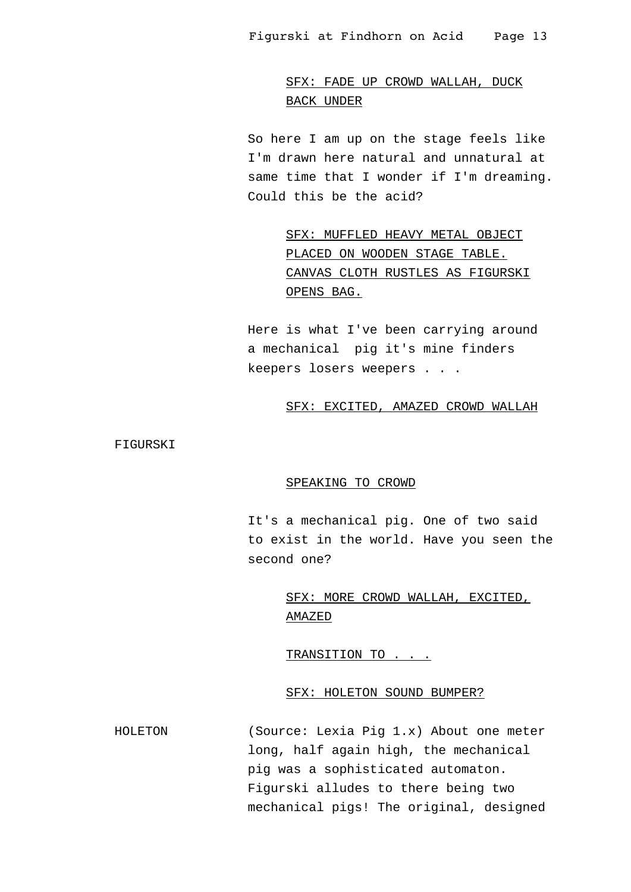# SFX: FADE UP CROWD WALLAH, DUCK BACK UNDER

So here I am up on the stage feels like I'm drawn here natural and unnatural at same time that I wonder if I'm dreaming. Could this be the acid?

> SFX: MUFFLED HEAVY METAL OBJECT PLACED ON WOODEN STAGE TABLE. CANVAS CLOTH RUSTLES AS FIGURSKI OPENS BAG.

Here is what I've been carrying around a mechanical pig it's mine finders keepers losers weepers . . .

## SFX: EXCITED, AMAZED CROWD WALLAH

FIGURSKI

#### SPEAKING TO CROWD

It's a mechanical pig. One of two said to exist in the world. Have you seen the second one?

> SFX: MORE CROWD WALLAH, EXCITED, AMAZED

TRANSITION TO . . .

## SFX: HOLETON SOUND BUMPER?

HOLETON (Source: Lexia Pig 1.x) About one meter long, half again high, the mechanical pig was a sophisticated automaton. Figurski alludes to there being two mechanical pigs! The original, designed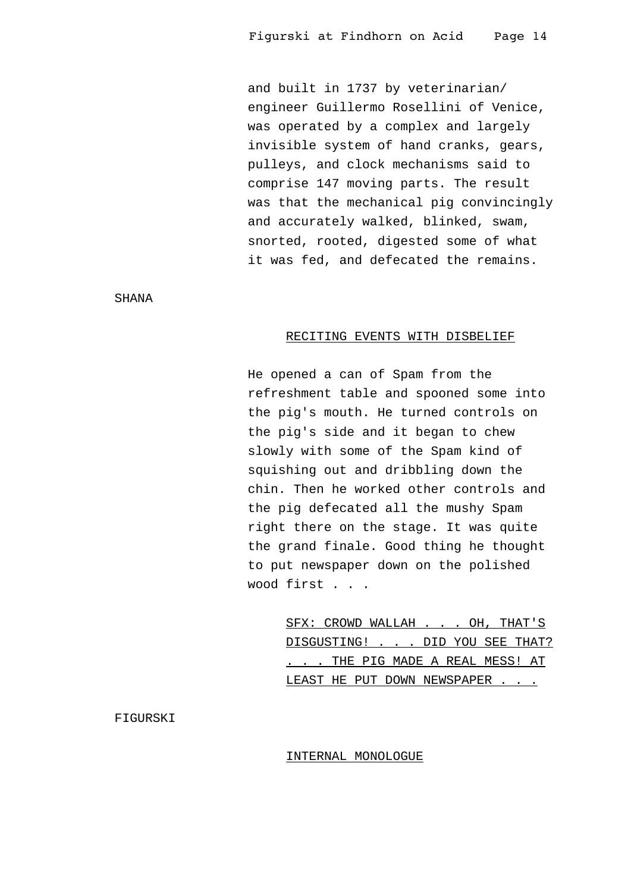and built in 1737 by veterinarian/ engineer Guillermo Rosellini of Venice, was operated by a complex and largely invisible system of hand cranks, gears, pulleys, and clock mechanisms said to comprise 147 moving parts. The result was that the mechanical pig convincingly and accurately walked, blinked, swam, snorted, rooted, digested some of what it was fed, and defecated the remains.

SHANA

#### RECITING EVENTS WITH DISBELIEF

He opened a can of Spam from the refreshment table and spooned some into the pig's mouth. He turned controls on the pig's side and it began to chew slowly with some of the Spam kind of squishing out and dribbling down the chin. Then he worked other controls and the pig defecated all the mushy Spam right there on the stage. It was quite the grand finale. Good thing he thought to put newspaper down on the polished wood first . . .

> SFX: CROWD WALLAH . . . OH, THAT'S DISGUSTING! . . . DID YOU SEE THAT? . . . THE PIG MADE A REAL MESS! AT LEAST HE PUT DOWN NEWSPAPER . . .

FIGURSKI

#### INTERNAL MONOLOGUE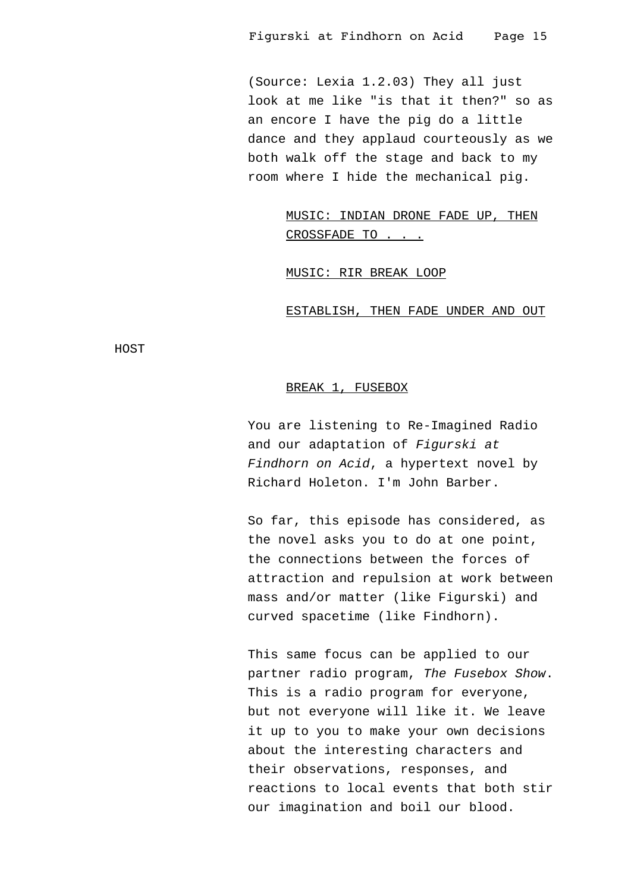(Source: Lexia 1.2.03) They all just look at me like "is that it then?" so as an encore I have the pig do a little dance and they applaud courteously as we both walk off the stage and back to my room where I hide the mechanical pig.

> MUSIC: INDIAN DRONE FADE UP, THEN CROSSFADE TO . . .

MUSIC: RIR BREAK LOOP

ESTABLISH, THEN FADE UNDER AND OUT

HOST

# BREAK 1, FUSEBOX

You are listening to Re-Imagined Radio and our adaptation of Figurski at Findhorn on Acid, a hypertext novel by Richard Holeton. I'm John Barber.

So far, this episode has considered, as the novel asks you to do at one point, the connections between the forces of attraction and repulsion at work between mass and/or matter (like Figurski) and curved spacetime (like Findhorn).

This same focus can be applied to our partner radio program, The Fusebox Show. This is a radio program for everyone, but not everyone will like it. We leave it up to you to make your own decisions about the interesting characters and their observations, responses, and reactions to local events that both stir our imagination and boil our blood.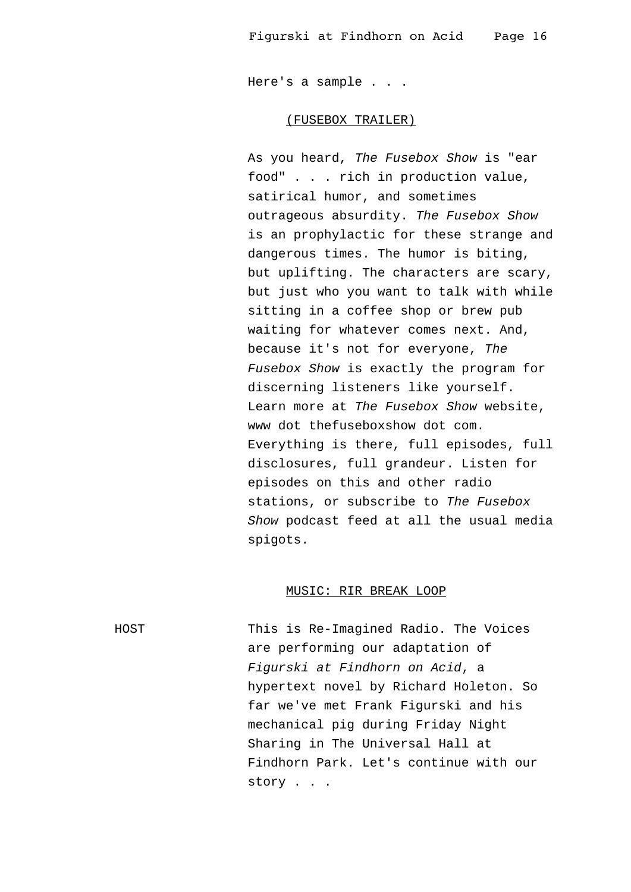Here's a sample . . .

#### (FUSEBOX TRAILER)

As you heard, The Fusebox Show is "ear food" . . . rich in production value, satirical humor, and sometimes outrageous absurdity. The Fusebox Show is an prophylactic for these strange and dangerous times. The humor is biting, but uplifting. The characters are scary, but just who you want to talk with while sitting in a coffee shop or brew pub waiting for whatever comes next. And, because it's not for everyone, The Fusebox Show is exactly the program for discerning listeners like yourself. Learn more at The Fusebox Show website, www dot thefuseboxshow dot com. Everything is there, full episodes, full disclosures, full grandeur. Listen for episodes on this and other radio stations, or subscribe to The Fusebox Show podcast feed at all the usual media spigots.

#### MUSIC: RIR BREAK LOOP

HOST This is Re-Imagined Radio. The Voices are performing our adaptation of Figurski at Findhorn on Acid, a hypertext novel by Richard Holeton. So far we've met Frank Figurski and his mechanical pig during Friday Night Sharing in The Universal Hall at Findhorn Park. Let's continue with our story . . .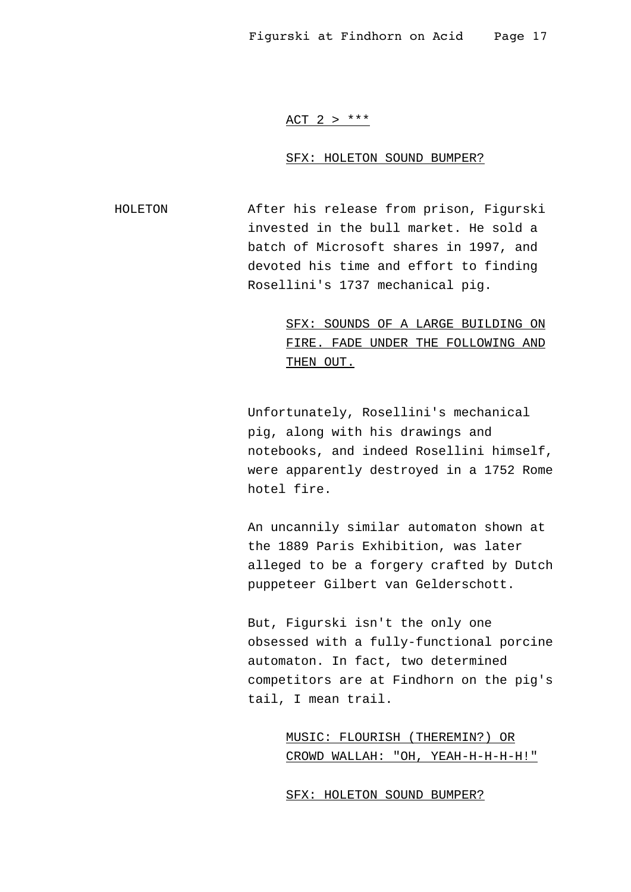# ACT 2  $>$  \*\*\*

#### SFX: HOLETON SOUND BUMPER?

HOLETON After his release from prison, Figurski invested in the bull market. He sold a batch of Microsoft shares in 1997, and devoted his time and effort to finding Rosellini's 1737 mechanical pig.

> SFX: SOUNDS OF A LARGE BUILDING ON FIRE. FADE UNDER THE FOLLOWING AND THEN OUT.

Unfortunately, Rosellini's mechanical pig, along with his drawings and notebooks, and indeed Rosellini himself, were apparently destroyed in a 1752 Rome hotel fire.

An uncannily similar automaton shown at the 1889 Paris Exhibition, was later alleged to be a forgery crafted by Dutch puppeteer Gilbert van Gelderschott.

But, Figurski isn't the only one obsessed with a fully-functional porcine automaton. In fact, two determined competitors are at Findhorn on the pig's tail, I mean trail.

> MUSIC: FLOURISH (THEREMIN?) OR CROWD WALLAH: "OH, YEAH-H-H-H-H!"

SFX: HOLETON SOUND BUMPER?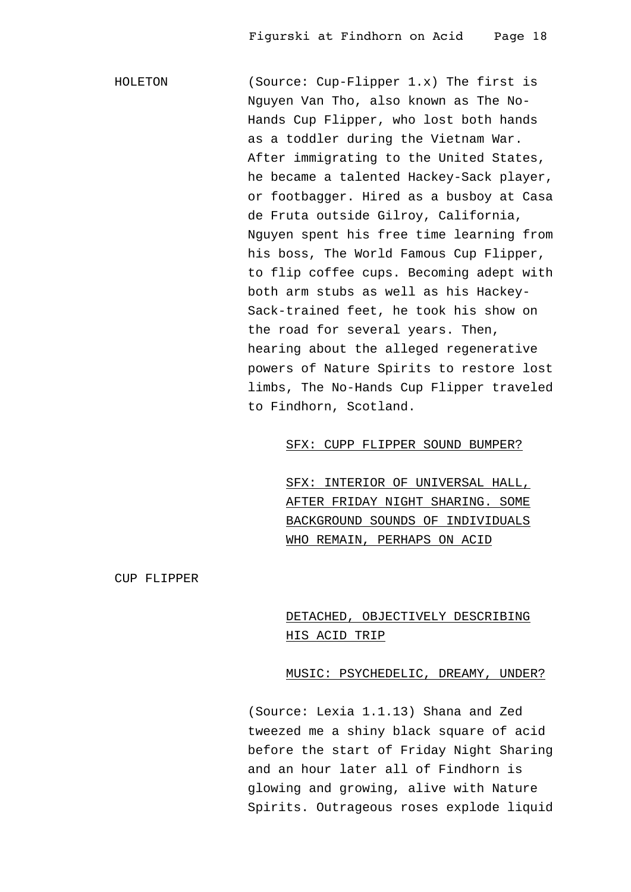HOLETON (Source: Cup-Flipper 1.x) The first is Nguyen Van Tho, also known as The No-Hands Cup Flipper, who lost both hands as a toddler during the Vietnam War. After immigrating to the United States, he became a talented Hackey-Sack player, or footbagger. Hired as a busboy at Casa de Fruta outside Gilroy, California, Nguyen spent his free time learning from his boss, The World Famous Cup Flipper, to flip coffee cups. Becoming adept with both arm stubs as well as his Hackey-Sack-trained feet, he took his show on the road for several years. Then, hearing about the alleged regenerative powers of Nature Spirits to restore lost limbs, The No-Hands Cup Flipper traveled to Findhorn, Scotland.

SFX: CUPP FLIPPER SOUND BUMPER?

SFX: INTERIOR OF UNIVERSAL HALL, AFTER FRIDAY NIGHT SHARING. SOME BACKGROUND SOUNDS OF INDIVIDUALS WHO REMAIN, PERHAPS ON ACID

CUP FLIPPER

# DETACHED, OBJECTIVELY DESCRIBING HIS ACID TRIP

#### MUSIC: PSYCHEDELIC, DREAMY, UNDER?

(Source: Lexia 1.1.13) Shana and Zed tweezed me a shiny black square of acid before the start of Friday Night Sharing and an hour later all of Findhorn is glowing and growing, alive with Nature Spirits. Outrageous roses explode liquid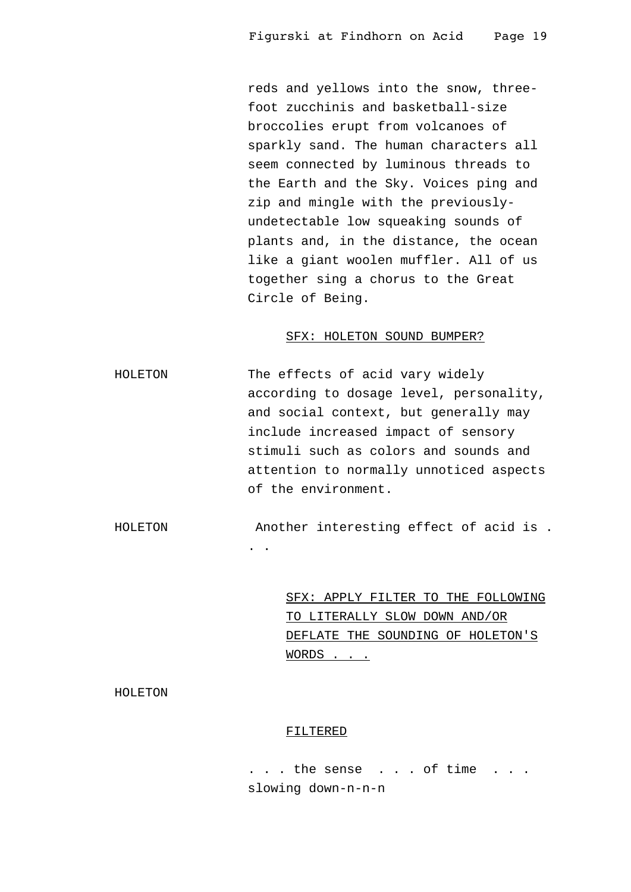reds and yellows into the snow, threefoot zucchinis and basketball-size broccolies erupt from volcanoes of sparkly sand. The human characters all seem connected by luminous threads to the Earth and the Sky. Voices ping and zip and mingle with the previouslyundetectable low squeaking sounds of plants and, in the distance, the ocean like a giant woolen muffler. All of us together sing a chorus to the Great Circle of Being.

#### SFX: HOLETON SOUND BUMPER?

HOLETON The effects of acid vary widely according to dosage level, personality, and social context, but generally may include increased impact of sensory stimuli such as colors and sounds and attention to normally unnoticed aspects of the environment.

HOLETON Another interesting effect of acid is .

. .

SFX: APPLY FILTER TO THE FOLLOWING TO LITERALLY SLOW DOWN AND/OR DEFLATE THE SOUNDING OF HOLETON'S WORDS . . .

HOLETON

#### FILTERED

. . . the sense . . . of time . . . slowing down-n-n-n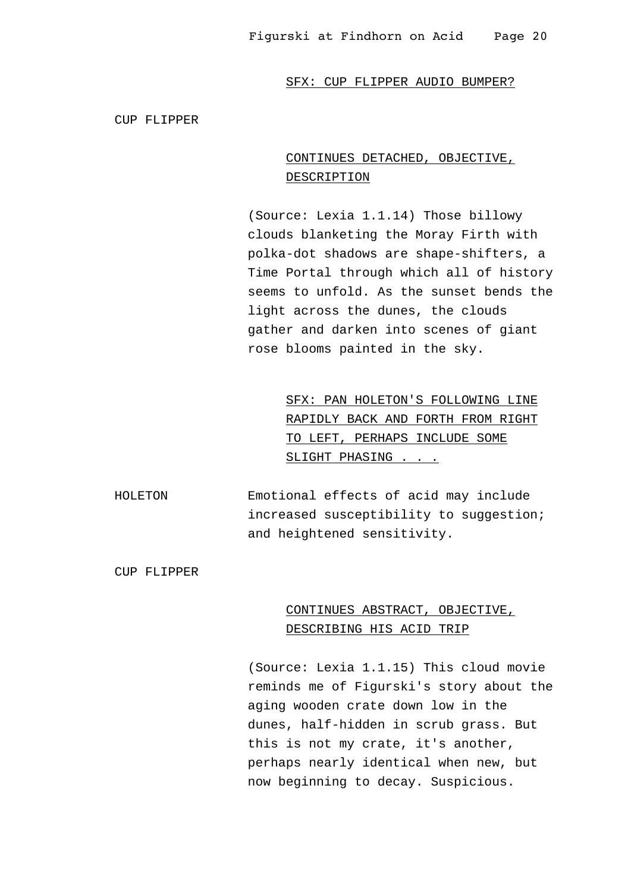CUP FLIPPER

# CONTINUES DETACHED, OBJECTIVE, DESCRIPTION

(Source: Lexia 1.1.14) Those billowy clouds blanketing the Moray Firth with polka-dot shadows are shape-shifters, a Time Portal through which all of history seems to unfold. As the sunset bends the light across the dunes, the clouds gather and darken into scenes of giant rose blooms painted in the sky.

> SFX: PAN HOLETON'S FOLLOWING LINE RAPIDLY BACK AND FORTH FROM RIGHT TO LEFT, PERHAPS INCLUDE SOME SLIGHT PHASING . . .

HOLETON Emotional effects of acid may include increased susceptibility to suggestion; and heightened sensitivity.

CUP FLIPPER

# CONTINUES ABSTRACT, OBJECTIVE, DESCRIBING HIS ACID TRIP

(Source: Lexia 1.1.15) This cloud movie reminds me of Figurski's story about the aging wooden crate down low in the dunes, half-hidden in scrub grass. But this is not my crate, it's another, perhaps nearly identical when new, but now beginning to decay. Suspicious.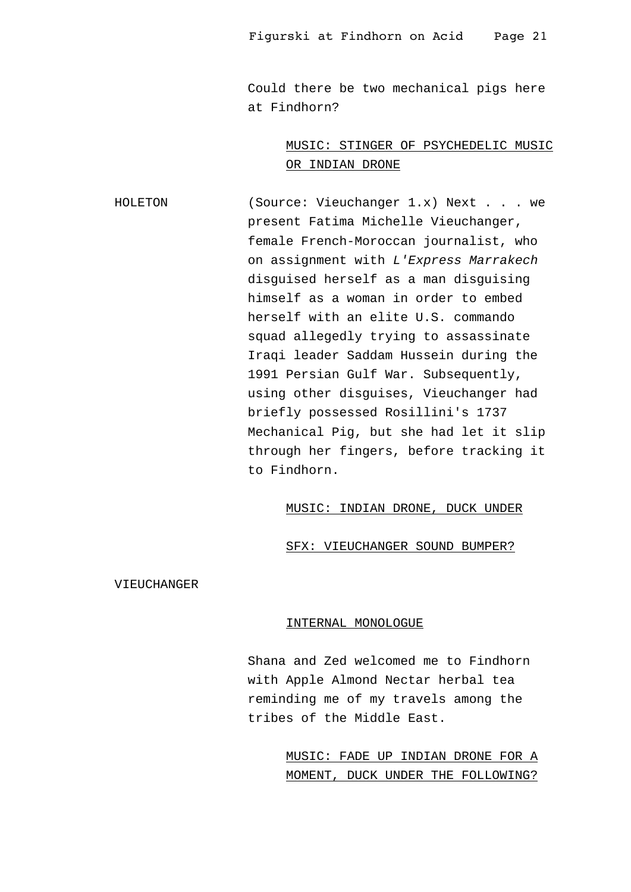Could there be two mechanical pigs here at Findhorn?

# MUSIC: STINGER OF PSYCHEDELIC MUSIC OR INDIAN DRONE

HOLETON (Source: Vieuchanger 1.x) Next . . . we present Fatima Michelle Vieuchanger, female French-Moroccan journalist, who on assignment with L'Express Marrakech disguised herself as a man disguising himself as a woman in order to embed herself with an elite U.S. commando squad allegedly trying to assassinate Iraqi leader Saddam Hussein during the 1991 Persian Gulf War. Subsequently, using other disguises, Vieuchanger had briefly possessed Rosillini's 1737 Mechanical Pig, but she had let it slip through her fingers, before tracking it to Findhorn.

# MUSIC: INDIAN DRONE, DUCK UNDER

# SFX: VIEUCHANGER SOUND BUMPER?

VIEUCHANGER

#### INTERNAL MONOLOGUE

Shana and Zed welcomed me to Findhorn with Apple Almond Nectar herbal tea reminding me of my travels among the tribes of the Middle East.

> MUSIC: FADE UP INDIAN DRONE FOR A MOMENT, DUCK UNDER THE FOLLOWING?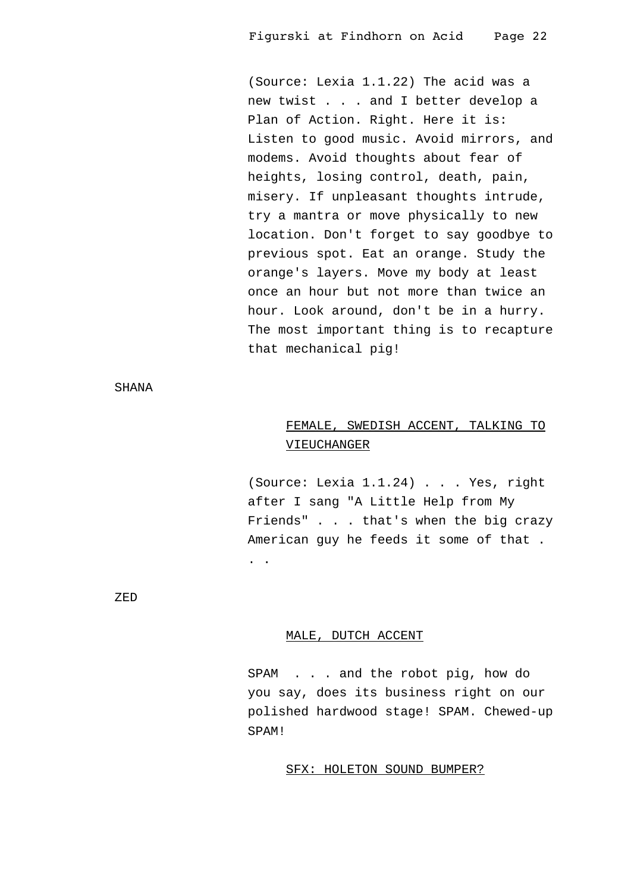(Source: Lexia 1.1.22) The acid was a new twist . . . and I better develop a Plan of Action. Right. Here it is: Listen to good music. Avoid mirrors, and modems. Avoid thoughts about fear of heights, losing control, death, pain, misery. If unpleasant thoughts intrude, try a mantra or move physically to new location. Don't forget to say goodbye to previous spot. Eat an orange. Study the orange's layers. Move my body at least once an hour but not more than twice an hour. Look around, don't be in a hurry. The most important thing is to recapture that mechanical pig!

SHANA

# FEMALE, SWEDISH ACCENT, TALKING TO VIEUCHANGER

(Source: Lexia 1.1.24) . . . Yes, right after I sang "A Little Help from My Friends" . . . that's when the big crazy American guy he feeds it some of that . . .

ZED

# MALE, DUTCH ACCENT

SPAM . . . and the robot pig, how do you say, does its business right on our polished hardwood stage! SPAM. Chewed-up SPAM!

## SFX: HOLETON SOUND BUMPER?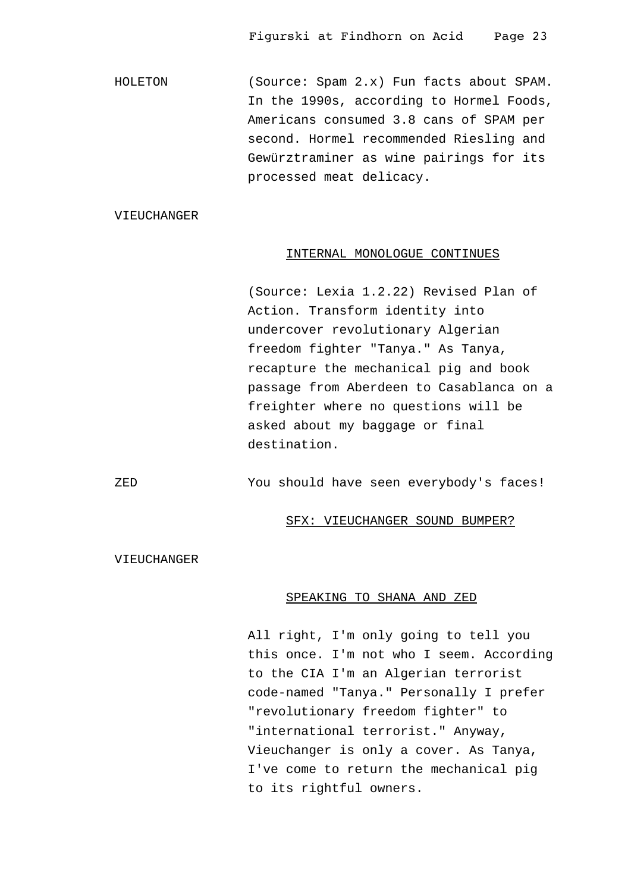HOLETON (Source: Spam 2.x) Fun facts about SPAM. In the 1990s, according to Hormel Foods, Americans consumed 3.8 cans of SPAM per second. Hormel recommended Riesling and Gewürztraminer as wine pairings for its processed meat delicacy.

# VIEUCHANGER

#### INTERNAL MONOLOGUE CONTINUES

(Source: Lexia 1.2.22) Revised Plan of Action. Transform identity into undercover revolutionary Algerian freedom fighter "Tanya." As Tanya, recapture the mechanical pig and book passage from Aberdeen to Casablanca on a freighter where no questions will be asked about my baggage or final destination.

ZED You should have seen everybody's faces!

#### SFX: VIEUCHANGER SOUND BUMPER?

VIEUCHANGER

#### SPEAKING TO SHANA AND ZED

All right, I'm only going to tell you this once. I'm not who I seem. According to the CIA I'm an Algerian terrorist code-named "Tanya." Personally I prefer "revolutionary freedom fighter" to "international terrorist." Anyway, Vieuchanger is only a cover. As Tanya, I've come to return the mechanical pig to its rightful owners.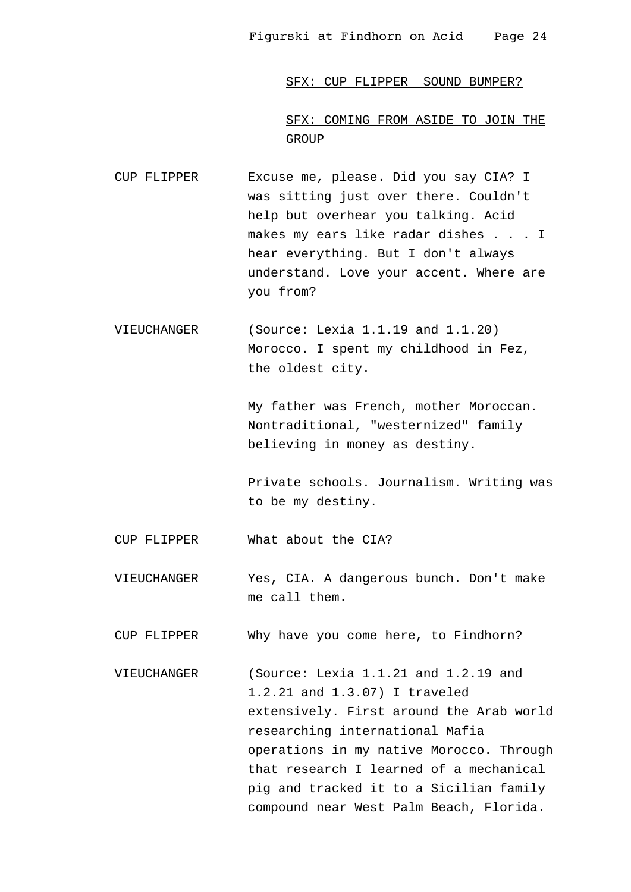SFX: CUP FLIPPER SOUND BUMPER?

SFX: COMING FROM ASIDE TO JOIN THE GROUP

- CUP FLIPPER Excuse me, please. Did you say CIA? I was sitting just over there. Couldn't help but overhear you talking. Acid makes my ears like radar dishes . . . I hear everything. But I don't always understand. Love your accent. Where are you from?
- VIEUCHANGER (Source: Lexia 1.1.19 and 1.1.20) Morocco. I spent my childhood in Fez, the oldest city.

My father was French, mother Moroccan. Nontraditional, "westernized" family believing in money as destiny.

Private schools. Journalism. Writing was to be my destiny.

CUP FLIPPER What about the CIA?

VIEUCHANGER Yes, CIA. A dangerous bunch. Don't make me call them.

CUP FLIPPER Why have you come here, to Findhorn?

VIEUCHANGER (Source: Lexia 1.1.21 and 1.2.19 and 1.2.21 and 1.3.07) I traveled extensively. First around the Arab world researching international Mafia operations in my native Morocco. Through that research I learned of a mechanical pig and tracked it to a Sicilian family compound near West Palm Beach, Florida.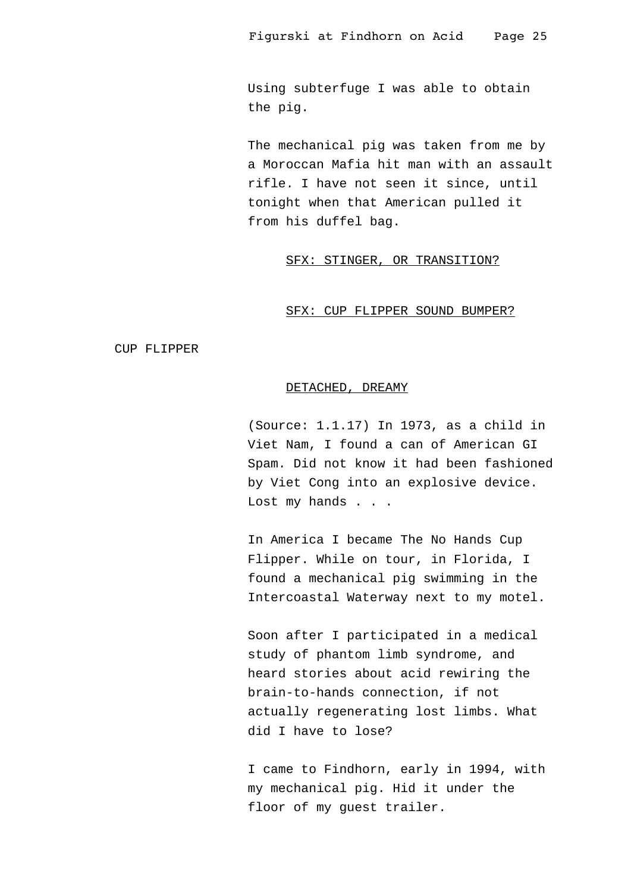Using subterfuge I was able to obtain the pig.

The mechanical pig was taken from me by a Moroccan Mafia hit man with an assault rifle. I have not seen it since, until tonight when that American pulled it from his duffel bag.

# SFX: STINGER, OR TRANSITION?

#### SFX: CUP FLIPPER SOUND BUMPER?

CUP FLIPPER

#### DETACHED, DREAMY

(Source: 1.1.17) In 1973, as a child in Viet Nam, I found a can of American GI Spam. Did not know it had been fashioned by Viet Cong into an explosive device. Lost my hands . . .

In America I became The No Hands Cup Flipper. While on tour, in Florida, I found a mechanical pig swimming in the Intercoastal Waterway next to my motel.

Soon after I participated in a medical study of phantom limb syndrome, and heard stories about acid rewiring the brain-to-hands connection, if not actually regenerating lost limbs. What did I have to lose?

I came to Findhorn, early in 1994, with my mechanical pig. Hid it under the floor of my guest trailer.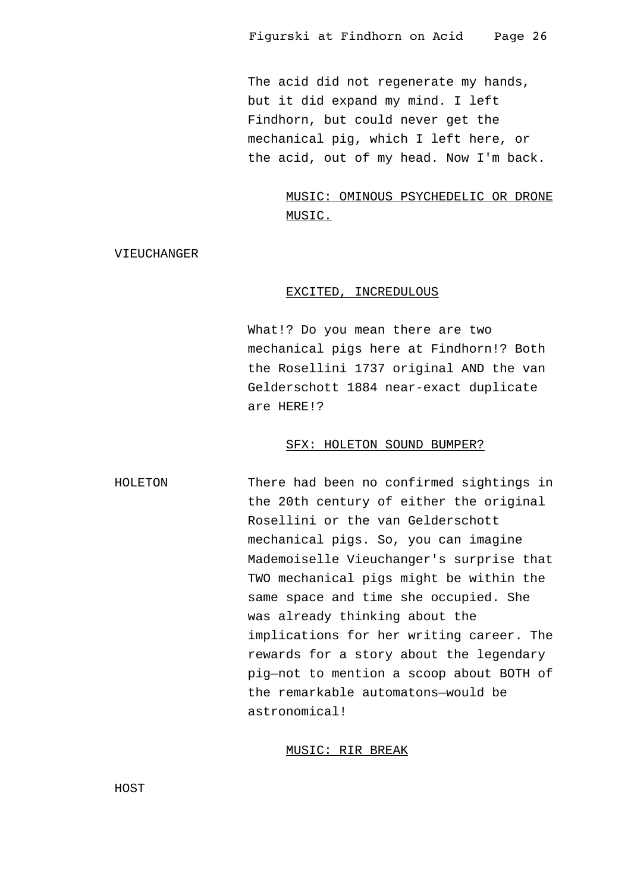The acid did not regenerate my hands, but it did expand my mind. I left Findhorn, but could never get the mechanical pig, which I left here, or the acid, out of my head. Now I'm back.

# MUSIC: OMINOUS PSYCHEDELIC OR DRONE MUSIC.

VIEUCHANGER

## EXCITED, INCREDULOUS

What!? Do you mean there are two mechanical pigs here at Findhorn!? Both the Rosellini 1737 original AND the van Gelderschott 1884 near-exact duplicate are HERE!?

## SFX: HOLETON SOUND BUMPER?

HOLETON There had been no confirmed sightings in the 20th century of either the original Rosellini or the van Gelderschott mechanical pigs. So, you can imagine Mademoiselle Vieuchanger's surprise that TWO mechanical pigs might be within the same space and time she occupied. She was already thinking about the implications for her writing career. The rewards for a story about the legendary pig—not to mention a scoop about BOTH of the remarkable automatons—would be astronomical!

# MUSIC: RIR BREAK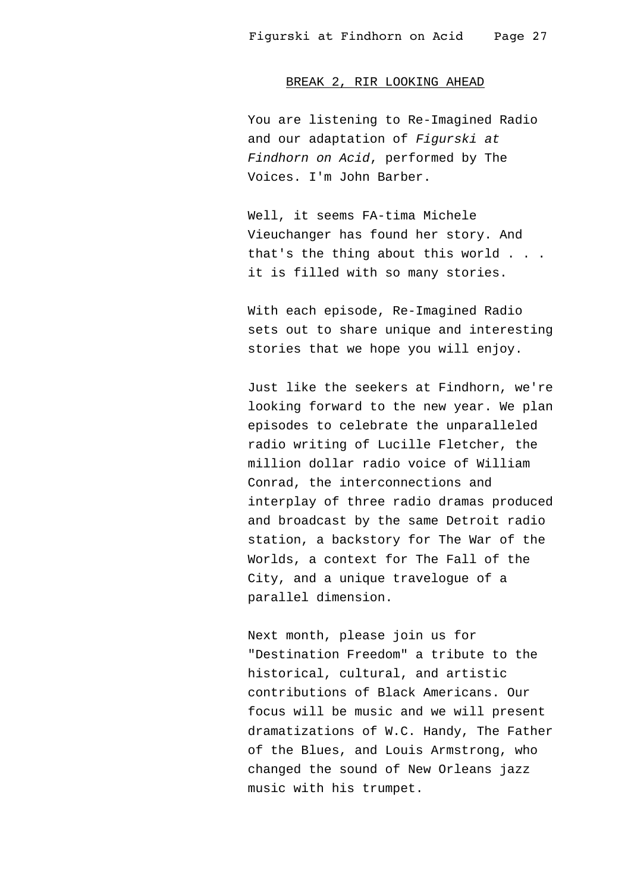## BREAK 2, RIR LOOKING AHEAD

You are listening to Re-Imagined Radio and our adaptation of Figurski at Findhorn on Acid, performed by The Voices. I'm John Barber.

Well, it seems FA-tima Michele Vieuchanger has found her story. And that's the thing about this world . . . it is filled with so many stories.

With each episode, Re-Imagined Radio sets out to share unique and interesting stories that we hope you will enjoy.

Just like the seekers at Findhorn, we're looking forward to the new year. We plan episodes to celebrate the unparalleled radio writing of Lucille Fletcher, the million dollar radio voice of William Conrad, the interconnections and interplay of three radio dramas produced and broadcast by the same Detroit radio station, a backstory for The War of the Worlds, a context for The Fall of the City, and a unique travelogue of a parallel dimension.

Next month, please join us for "Destination Freedom" a tribute to the historical, cultural, and artistic contributions of Black Americans. Our focus will be music and we will present dramatizations of W.C. Handy, The Father of the Blues, and Louis Armstrong, who changed the sound of New Orleans jazz music with his trumpet.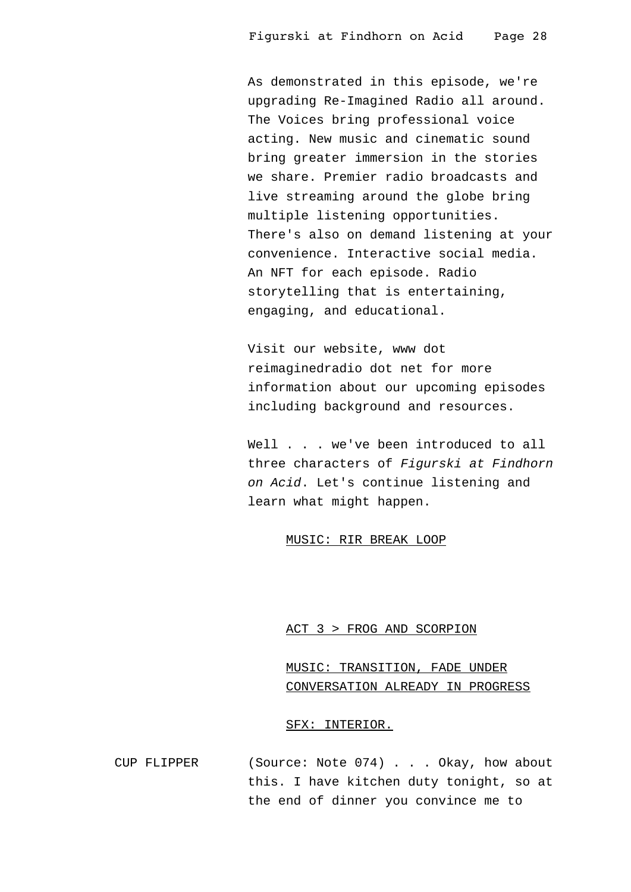As demonstrated in this episode, we're upgrading Re-Imagined Radio all around. The Voices bring professional voice acting. New music and cinematic sound bring greater immersion in the stories we share. Premier radio broadcasts and live streaming around the globe bring multiple listening opportunities. There's also on demand listening at your convenience. Interactive social media. An NFT for each episode. Radio storytelling that is entertaining, engaging, and educational.

Visit our website, www dot reimaginedradio dot net for more information about our upcoming episodes including background and resources.

Well . . . we've been introduced to all three characters of Figurski at Findhorn on Acid. Let's continue listening and learn what might happen.

### MUSIC: RIR BREAK LOOP

## ACT 3 > FROG AND SCORPION

MUSIC: TRANSITION, FADE UNDER CONVERSATION ALREADY IN PROGRESS

### SFX: INTERIOR.

CUP FLIPPER (Source: Note 074) . . . Okay, how about this. I have kitchen duty tonight, so at the end of dinner you convince me to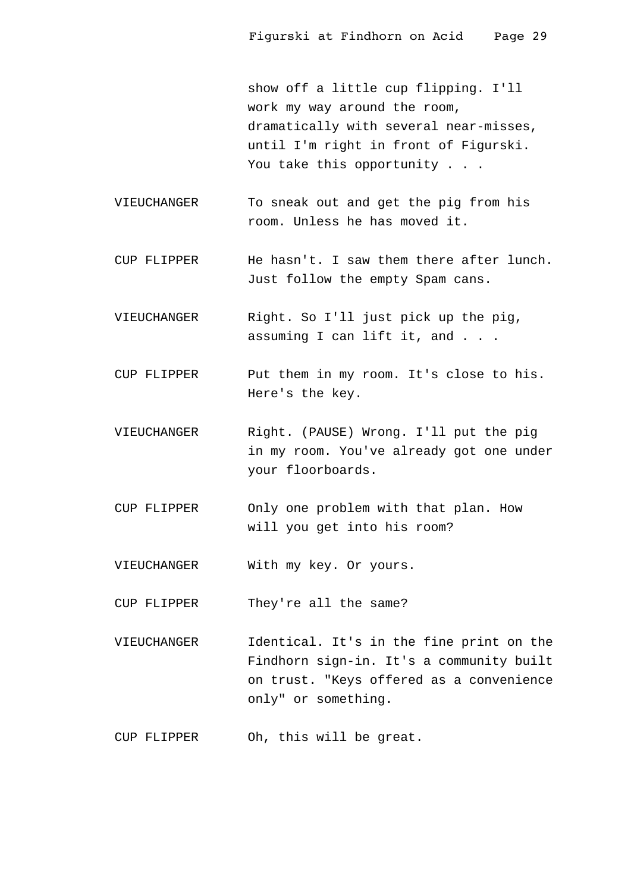show off a little cup flipping. I'll work my way around the room, dramatically with several near-misses, until I'm right in front of Figurski. You take this opportunity . . .

- VIEUCHANGER To sneak out and get the pig from his room. Unless he has moved it.
- CUP FLIPPER He hasn't. I saw them there after lunch. Just follow the empty Spam cans.
- VIEUCHANGER Right. So I'll just pick up the pig, assuming I can lift it, and . . .
- CUP FLIPPER Put them in my room. It's close to his. Here's the key.
- VIEUCHANGER Right. (PAUSE) Wrong. I'll put the pig in my room. You've already got one under your floorboards.
- CUP FLIPPER Only one problem with that plan. How will you get into his room?
- VIEUCHANGER With my key. Or yours.

CUP FLIPPER They're all the same?

- VIEUCHANGER Identical. It's in the fine print on the Findhorn sign-in. It's a community built on trust. "Keys offered as a convenience only" or something.
- CUP FLIPPER Oh, this will be great.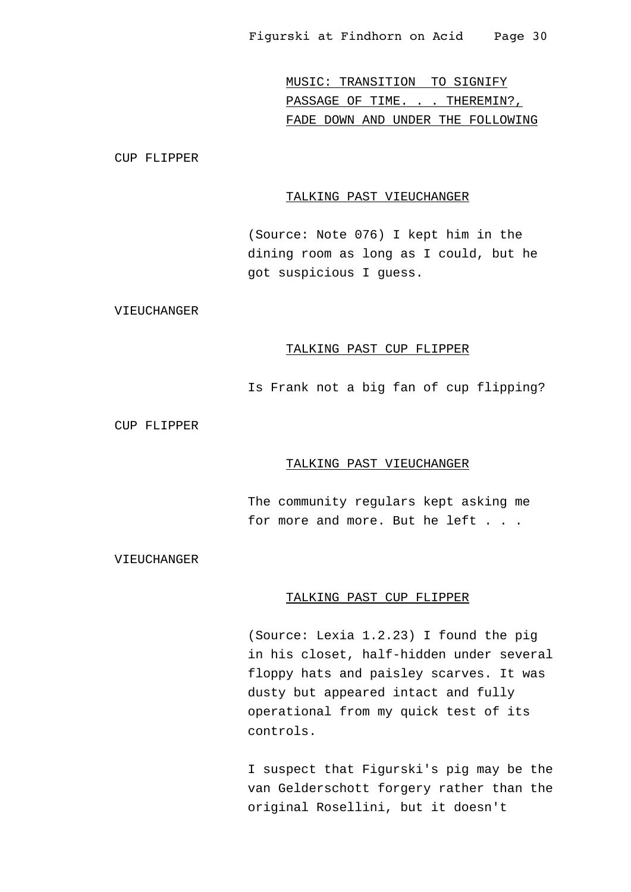MUSIC: TRANSITION TO SIGNIFY PASSAGE OF TIME. . . THEREMIN?, FADE DOWN AND UNDER THE FOLLOWING

CUP FLIPPER

# TALKING PAST VIEUCHANGER

(Source: Note 076) I kept him in the dining room as long as I could, but he got suspicious I guess.

VIEUCHANGER

# TALKING PAST CUP FLIPPER

Is Frank not a big fan of cup flipping?

CUP FLIPPER

#### TALKING PAST VIEUCHANGER

The community regulars kept asking me for more and more. But he left . . .

VIEUCHANGER

#### TALKING PAST CUP FLIPPER

(Source: Lexia 1.2.23) I found the pig in his closet, half-hidden under several floppy hats and paisley scarves. It was dusty but appeared intact and fully operational from my quick test of its controls.

I suspect that Figurski's pig may be the van Gelderschott forgery rather than the original Rosellini, but it doesn't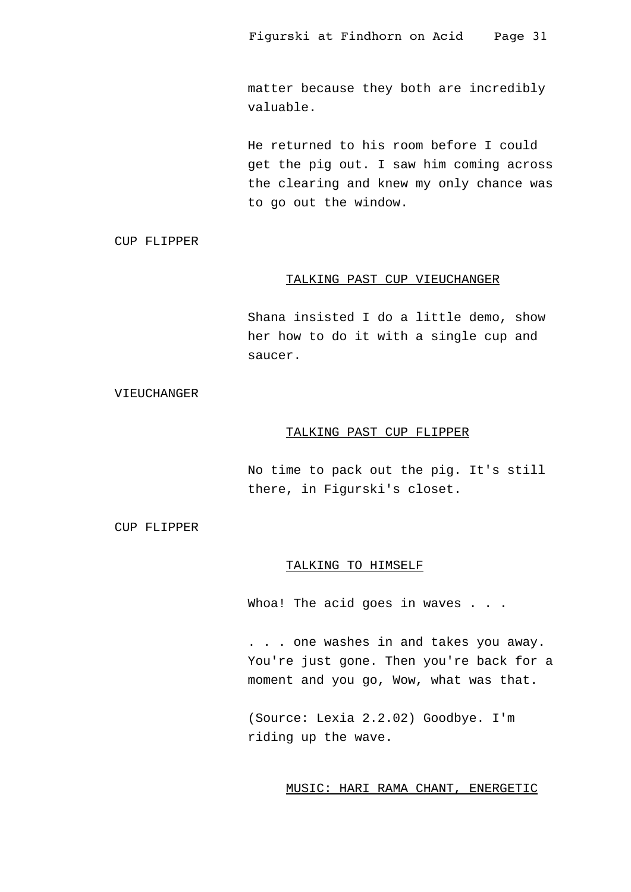matter because they both are incredibly valuable.

He returned to his room before I could get the pig out. I saw him coming across the clearing and knew my only chance was to go out the window.

CUP FLIPPER

# TALKING PAST CUP VIEUCHANGER

Shana insisted I do a little demo, show her how to do it with a single cup and saucer.

#### VIEUCHANGER

# TALKING PAST CUP FLIPPER

No time to pack out the pig. It's still there, in Figurski's closet.

CUP FLIPPER

# TALKING TO HIMSELF

Whoa! The acid goes in waves . . .

. . . one washes in and takes you away. You're just gone. Then you're back for a moment and you go, Wow, what was that.

(Source: Lexia 2.2.02) Goodbye. I'm riding up the wave.

# MUSIC: HARI RAMA CHANT, ENERGETIC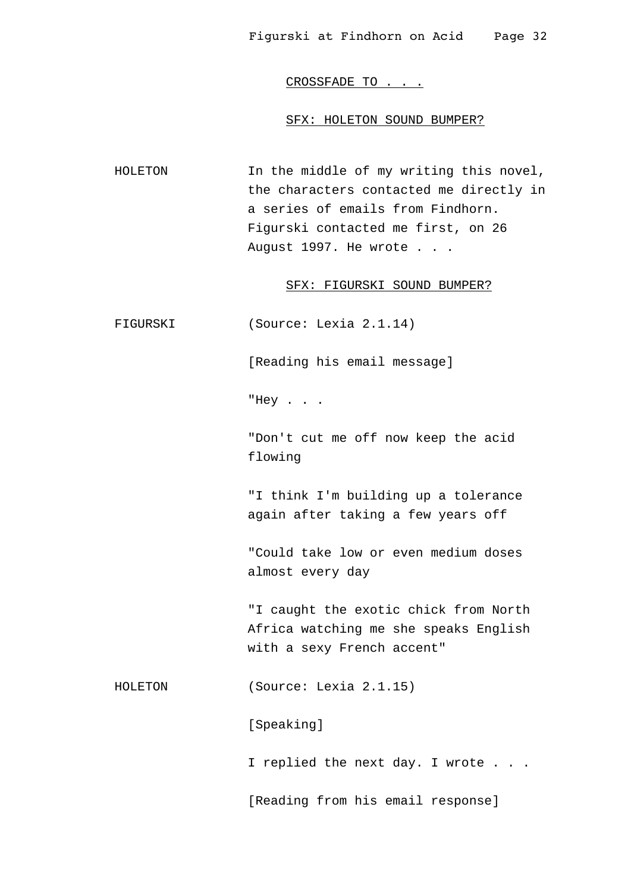CROSSFADE TO . . .

#### SFX: HOLETON SOUND BUMPER?

HOLETON In the middle of my writing this novel, the characters contacted me directly in a series of emails from Findhorn. Figurski contacted me first, on 26 August 1997. He wrote . . .

## SFX: FIGURSKI SOUND BUMPER?

FIGURSKI (Source: Lexia 2.1.14)

[Reading his email message]

"Hey . . .

"Don't cut me off now keep the acid flowing

"I think I'm building up a tolerance again after taking a few years off

"Could take low or even medium doses almost every day

"I caught the exotic chick from North Africa watching me she speaks English with a sexy French accent"

HOLETON (Source: Lexia 2.1.15)

[Speaking]

I replied the next day. I wrote . . .

[Reading from his email response]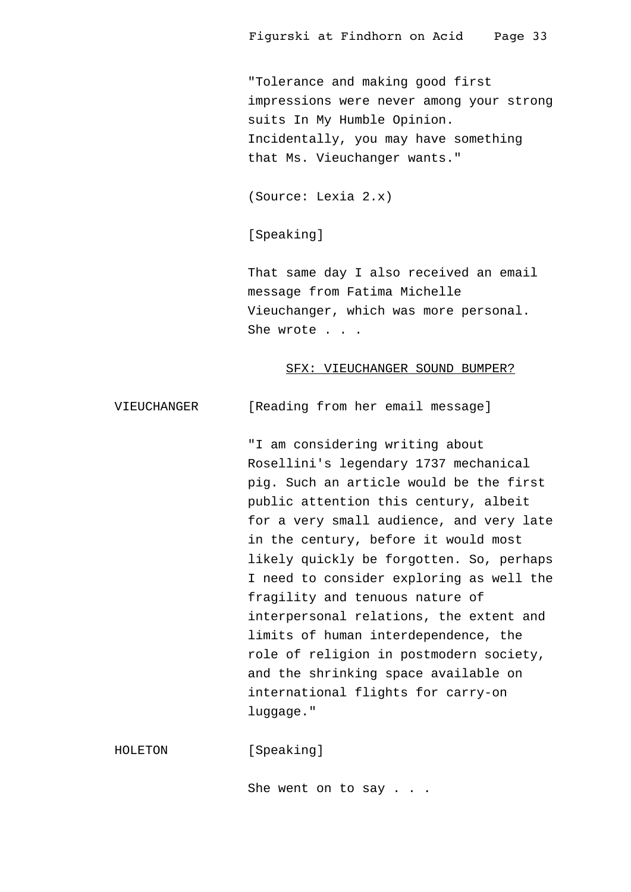"Tolerance and making good first impressions were never among your strong suits In My Humble Opinion. Incidentally, you may have something that Ms. Vieuchanger wants."

(Source: Lexia 2.x)

[Speaking]

That same day I also received an email message from Fatima Michelle Vieuchanger, which was more personal. She wrote . . .

#### SFX: VIEUCHANGER SOUND BUMPER?

VIEUCHANGER [Reading from her email message]

"I am considering writing about Rosellini's legendary 1737 mechanical pig. Such an article would be the first public attention this century, albeit for a very small audience, and very late in the century, before it would most likely quickly be forgotten. So, perhaps I need to consider exploring as well the fragility and tenuous nature of interpersonal relations, the extent and limits of human interdependence, the role of religion in postmodern society, and the shrinking space available on international flights for carry-on luggage."

HOLETON [Speaking]

She went on to say . . .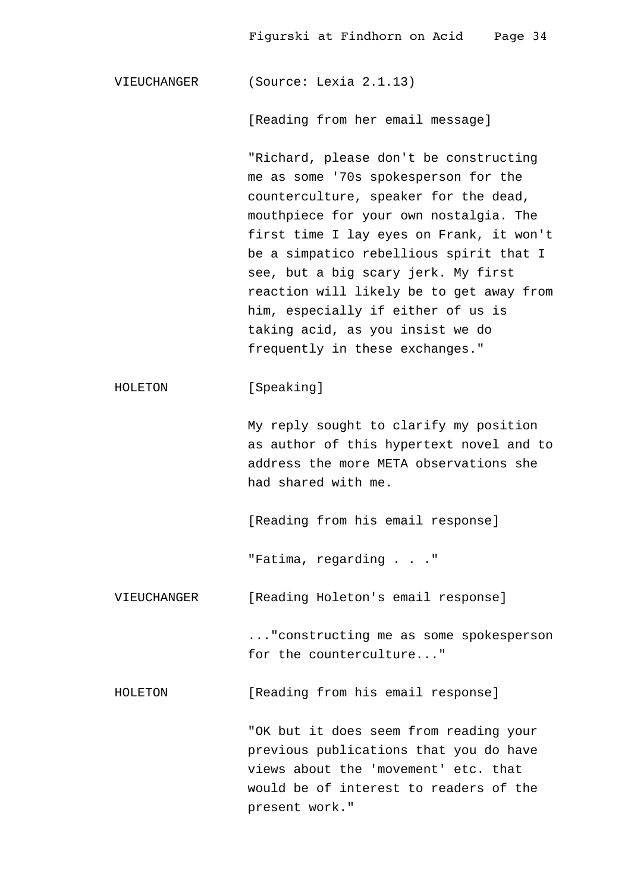VIEUCHANGER (Source: Lexia 2.1.13)

[Reading from her email message]

"Richard, please don't be constructing me as some '70s spokesperson for the counterculture, speaker for the dead, mouthpiece for your own nostalgia. The first time I lay eyes on Frank, it won't be a simpatico rebellious spirit that I see, but a big scary jerk. My first reaction will likely be to get away from him, especially if either of us is taking acid, as you insist we do frequently in these exchanges."

HOLETON [Speaking]

My reply sought to clarify my position as author of this hypertext novel and to address the more META observations she had shared with me.

[Reading from his email response]

"Fatima, regarding . . ."

VIEUCHANGER [Reading Holeton's email response]

..."constructing me as some spokesperson for the counterculture..."

HOLETON [Reading from his email response]

"OK but it does seem from reading your previous publications that you do have views about the 'movement' etc. that would be of interest to readers of the present work."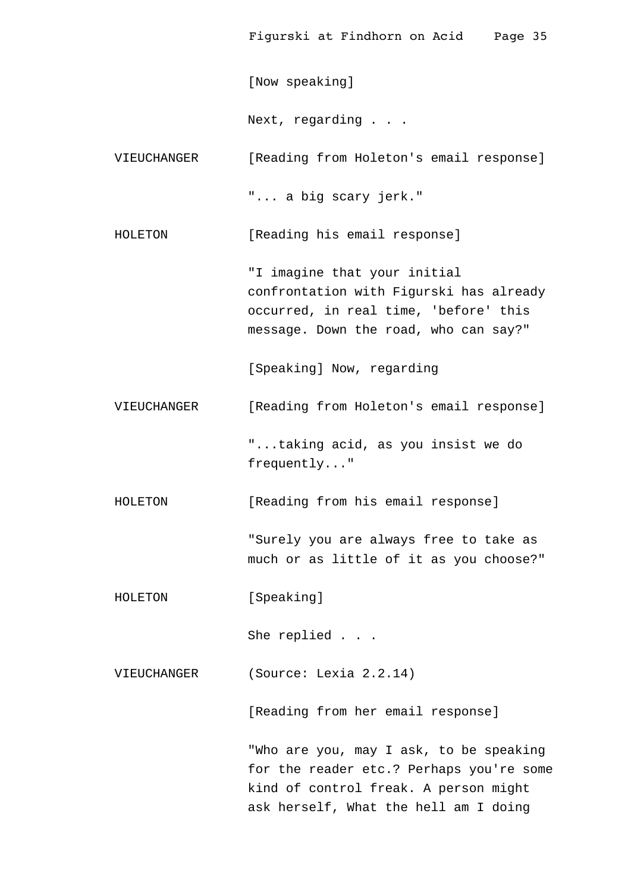[Now speaking]

Next, regarding . . .

VIEUCHANGER [Reading from Holeton's email response]

"... a big scary jerk."

HOLETON [Reading his email response]

"I imagine that your initial confrontation with Figurski has already occurred, in real time, 'before' this message. Down the road, who can say?"

[Speaking] Now, regarding

VIEUCHANGER [Reading from Holeton's email response]

"...taking acid, as you insist we do frequently..."

HOLETON [Reading from his email response]

"Surely you are always free to take as much or as little of it as you choose?"

HOLETON [Speaking]

She replied . . .

VIEUCHANGER (Source: Lexia 2.2.14)

[Reading from her email response]

"Who are you, may I ask, to be speaking for the reader etc.? Perhaps you're some kind of control freak. A person might ask herself, What the hell am I doing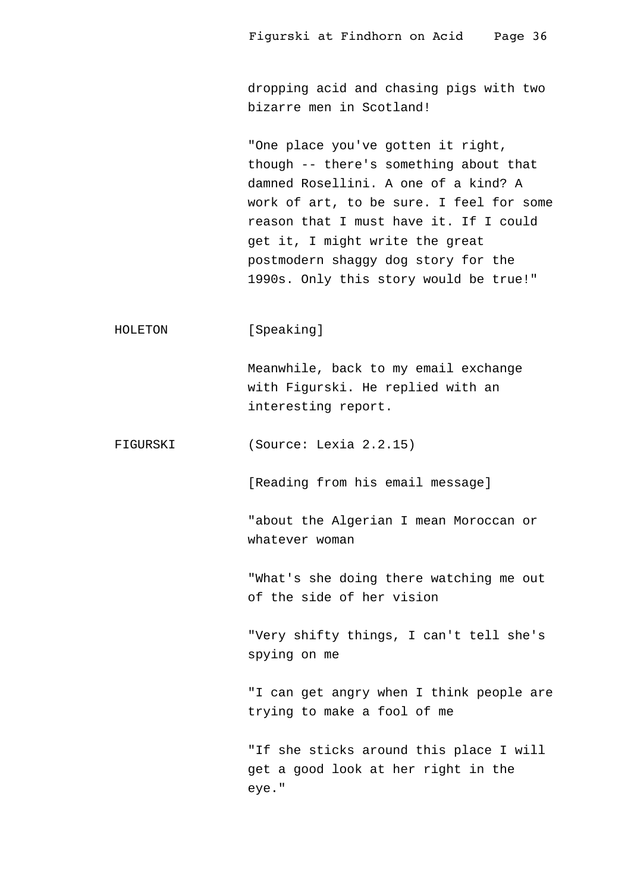dropping acid and chasing pigs with two bizarre men in Scotland!

"One place you've gotten it right, though -- there's something about that damned Rosellini. A one of a kind? A work of art, to be sure. I feel for some reason that I must have it. If I could get it, I might write the great postmodern shaggy dog story for the 1990s. Only this story would be true!"

HOLETON [Speaking]

Meanwhile, back to my email exchange with Figurski. He replied with an interesting report.

FIGURSKI (Source: Lexia 2.2.15)

[Reading from his email message]

"about the Algerian I mean Moroccan or whatever woman

"What's she doing there watching me out of the side of her vision

"Very shifty things, I can't tell she's spying on me

"I can get angry when I think people are trying to make a fool of me

"If she sticks around this place I will get a good look at her right in the eye."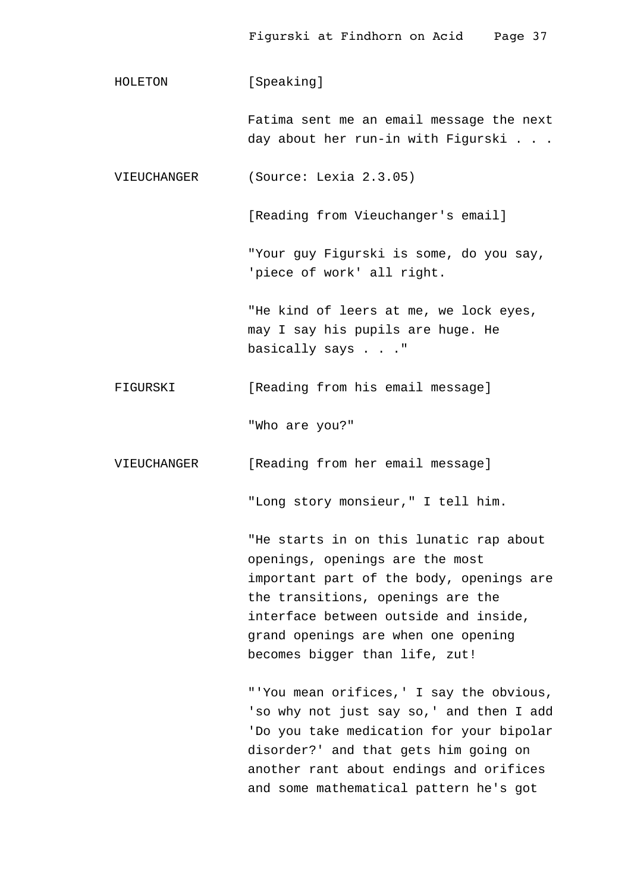HOLETON [Speaking] Fatima sent me an email message the next day about her run-in with Figurski . . . VIEUCHANGER (Source: Lexia 2.3.05) [Reading from Vieuchanger's email] "Your guy Figurski is some, do you say, 'piece of work' all right. "He kind of leers at me, we lock eyes, may I say his pupils are huge. He basically says . . ." FIGURSKI [Reading from his email message] "Who are you?" VIEUCHANGER [Reading from her email message] "Long story monsieur," I tell him. "He starts in on this lunatic rap about openings, openings are the most important part of the body, openings are the transitions, openings are the interface between outside and inside,

> "'You mean orifices,' I say the obvious, 'so why not just say so,' and then I add 'Do you take medication for your bipolar disorder?' and that gets him going on another rant about endings and orifices and some mathematical pattern he's got

grand openings are when one opening

becomes bigger than life, zut!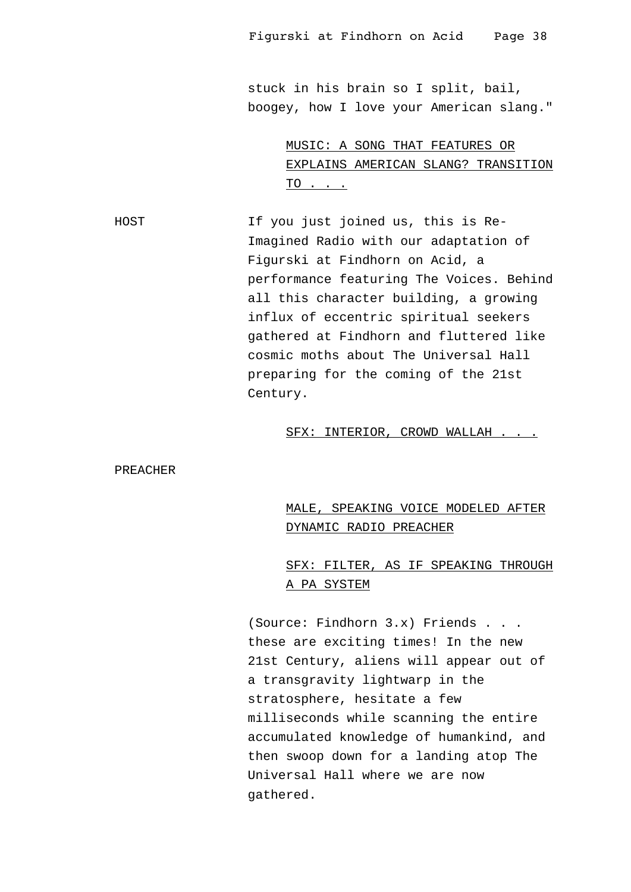stuck in his brain so I split, bail, boogey, how I love your American slang."

> MUSIC: A SONG THAT FEATURES OR EXPLAINS AMERICAN SLANG? TRANSITION TO . . .

HOST If you just joined us, this is Re-Imagined Radio with our adaptation of Figurski at Findhorn on Acid, a performance featuring The Voices. Behind all this character building, a growing influx of eccentric spiritual seekers gathered at Findhorn and fluttered like cosmic moths about The Universal Hall preparing for the coming of the 21st Century.

# SFX: INTERIOR, CROWD WALLAH . . .

PREACHER

# MALE, SPEAKING VOICE MODELED AFTER DYNAMIC RADIO PREACHER

# SFX: FILTER, AS IF SPEAKING THROUGH A PA SYSTEM

(Source: Findhorn 3.x) Friends . . . these are exciting times! In the new 21st Century, aliens will appear out of a transgravity lightwarp in the stratosphere, hesitate a few milliseconds while scanning the entire accumulated knowledge of humankind, and then swoop down for a landing atop The Universal Hall where we are now gathered.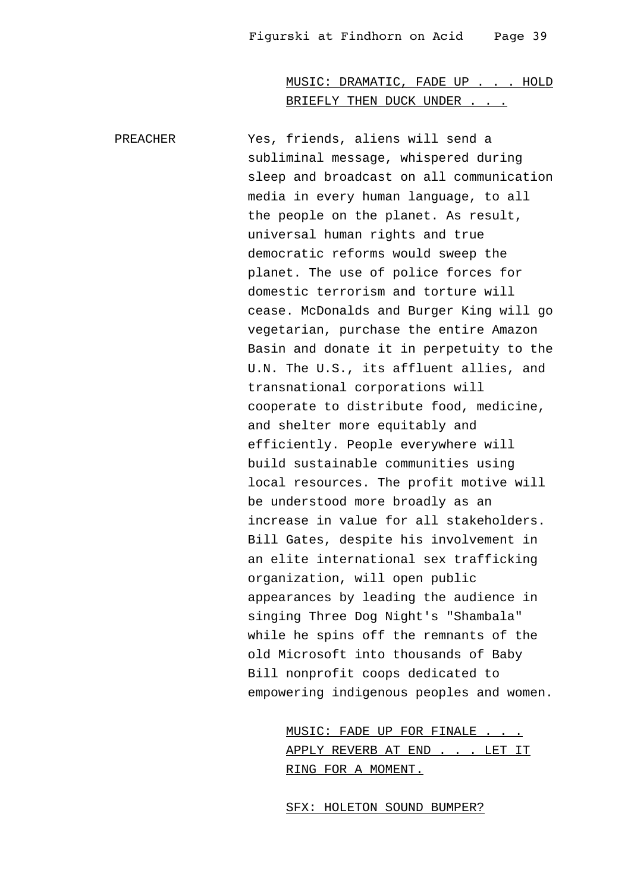MUSIC: DRAMATIC, FADE UP . . . HOLD BRIEFLY THEN DUCK UNDER . . .

PREACHER Yes, friends, aliens will send a subliminal message, whispered during sleep and broadcast on all communication media in every human language, to all the people on the planet. As result, universal human rights and true democratic reforms would sweep the planet. The use of police forces for domestic terrorism and torture will cease. McDonalds and Burger King will go vegetarian, purchase the entire Amazon Basin and donate it in perpetuity to the U.N. The U.S., its affluent allies, and transnational corporations will cooperate to distribute food, medicine, and shelter more equitably and efficiently. People everywhere will build sustainable communities using local resources. The profit motive will be understood more broadly as an increase in value for all stakeholders. Bill Gates, despite his involvement in an elite international sex trafficking organization, will open public appearances by leading the audience in singing Three Dog Night's "Shambala" while he spins off the remnants of the old Microsoft into thousands of Baby Bill nonprofit coops dedicated to empowering indigenous peoples and women.

> MUSIC: FADE UP FOR FINALE . . . APPLY REVERB AT END . . . LET IT RING FOR A MOMENT.

SFX: HOLETON SOUND BUMPER?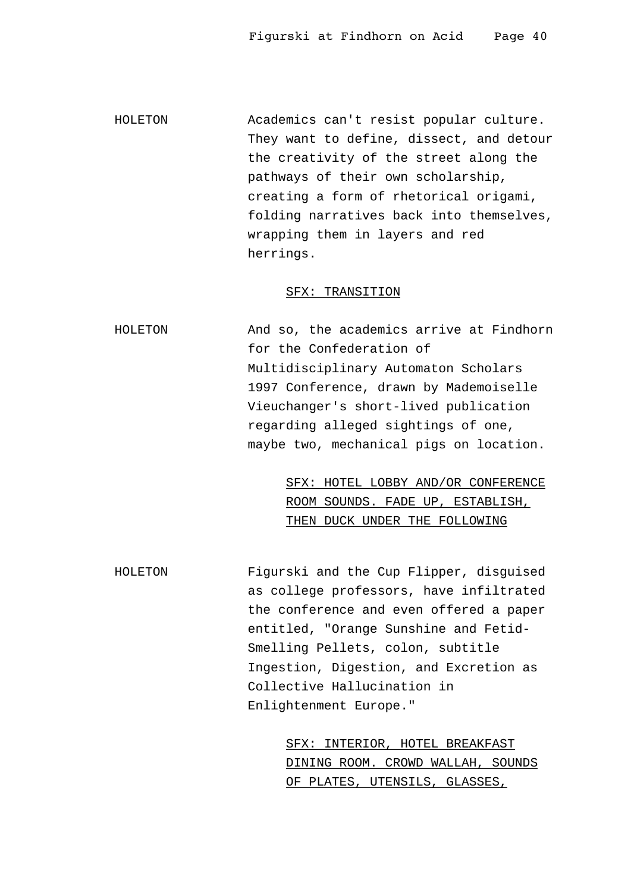HOLETON Academics can't resist popular culture. They want to define, dissect, and detour the creativity of the street along the pathways of their own scholarship, creating a form of rhetorical origami, folding narratives back into themselves, wrapping them in layers and red herrings.

# SFX: TRANSITION

HOLETON And so, the academics arrive at Findhorn for the Confederation of Multidisciplinary Automaton Scholars 1997 Conference, drawn by Mademoiselle Vieuchanger's short-lived publication regarding alleged sightings of one, maybe two, mechanical pigs on location.

> SFX: HOTEL LOBBY AND/OR CONFERENCE ROOM SOUNDS. FADE UP, ESTABLISH, THEN DUCK UNDER THE FOLLOWING

HOLETON Figurski and the Cup Flipper, disguised as college professors, have infiltrated the conference and even offered a paper entitled, "Orange Sunshine and Fetid-Smelling Pellets, colon, subtitle Ingestion, Digestion, and Excretion as Collective Hallucination in Enlightenment Europe."

> SFX: INTERIOR, HOTEL BREAKFAST DINING ROOM. CROWD WALLAH, SOUNDS OF PLATES, UTENSILS, GLASSES,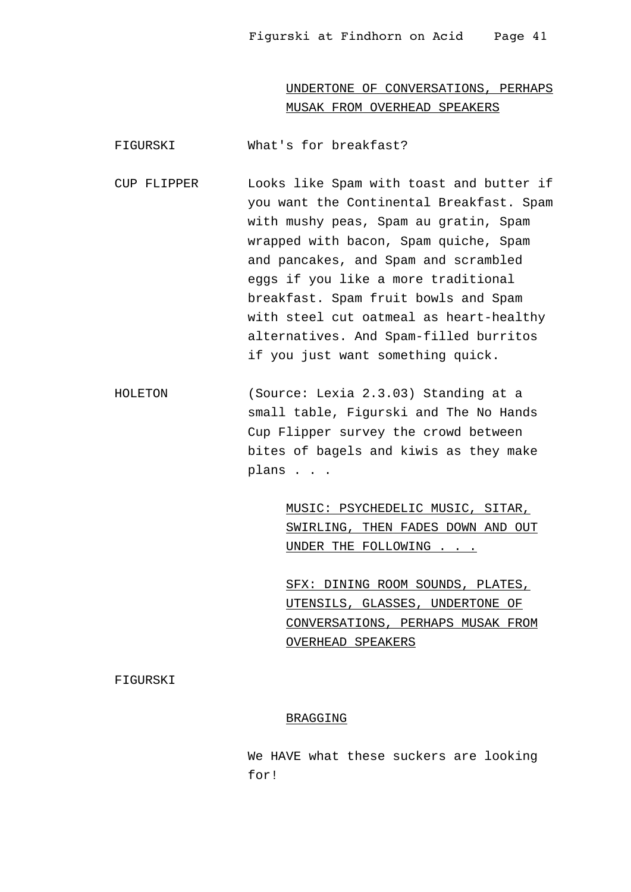UNDERTONE OF CONVERSATIONS, PERHAPS MUSAK FROM OVERHEAD SPEAKERS

FIGURSKI What's for breakfast?

- CUP FLIPPER Looks like Spam with toast and butter if you want the Continental Breakfast. Spam with mushy peas, Spam au gratin, Spam wrapped with bacon, Spam quiche, Spam and pancakes, and Spam and scrambled eggs if you like a more traditional breakfast. Spam fruit bowls and Spam with steel cut oatmeal as heart-healthy alternatives. And Spam-filled burritos if you just want something quick.
- HOLETON (Source: Lexia 2.3.03) Standing at a small table, Figurski and The No Hands Cup Flipper survey the crowd between bites of bagels and kiwis as they make plans . . .

MUSIC: PSYCHEDELIC MUSIC, SITAR, SWIRLING, THEN FADES DOWN AND OUT UNDER THE FOLLOWING . . .

SFX: DINING ROOM SOUNDS, PLATES, UTENSILS, GLASSES, UNDERTONE OF CONVERSATIONS, PERHAPS MUSAK FROM OVERHEAD SPEAKERS

FIGURSKI

# BRAGGING

We HAVE what these suckers are looking for!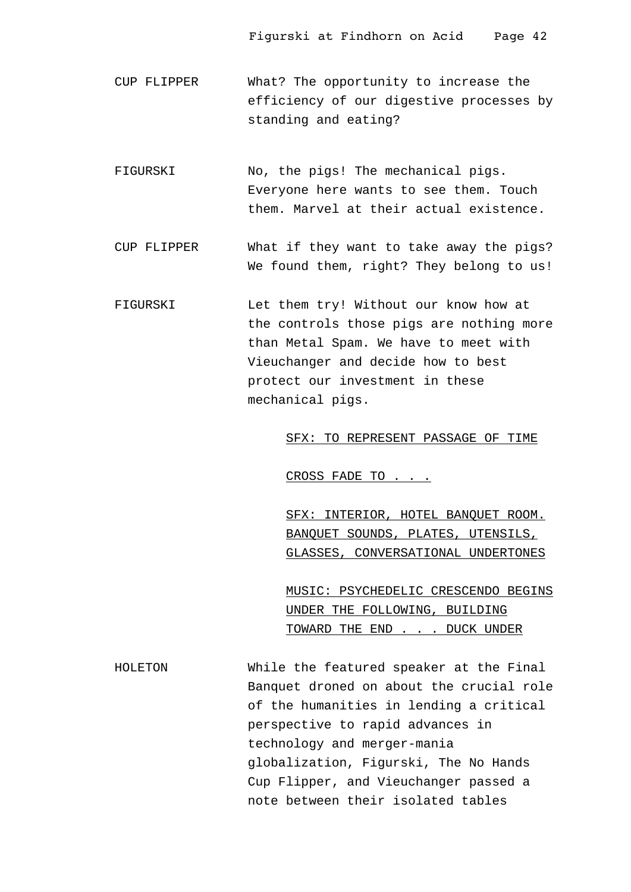- CUP FLIPPER What? The opportunity to increase the efficiency of our digestive processes by standing and eating?
- FIGURSKI No, the pigs! The mechanical pigs. Everyone here wants to see them. Touch them. Marvel at their actual existence.
- CUP FLIPPER What if they want to take away the pigs? We found them, right? They belong to us!
- FIGURSKI Let them try! Without our know how at the controls those pigs are nothing more than Metal Spam. We have to meet with Vieuchanger and decide how to best protect our investment in these mechanical pigs.

SFX: TO REPRESENT PASSAGE OF TIME

CROSS FADE TO . . .

SFX: INTERIOR, HOTEL BANQUET ROOM. BANQUET SOUNDS, PLATES, UTENSILS, GLASSES, CONVERSATIONAL UNDERTONES

MUSIC: PSYCHEDELIC CRESCENDO BEGINS UNDER THE FOLLOWING, BUILDING TOWARD THE END . . . DUCK UNDER

HOLETON While the featured speaker at the Final Banquet droned on about the crucial role of the humanities in lending a critical perspective to rapid advances in technology and merger-mania globalization, Figurski, The No Hands Cup Flipper, and Vieuchanger passed a note between their isolated tables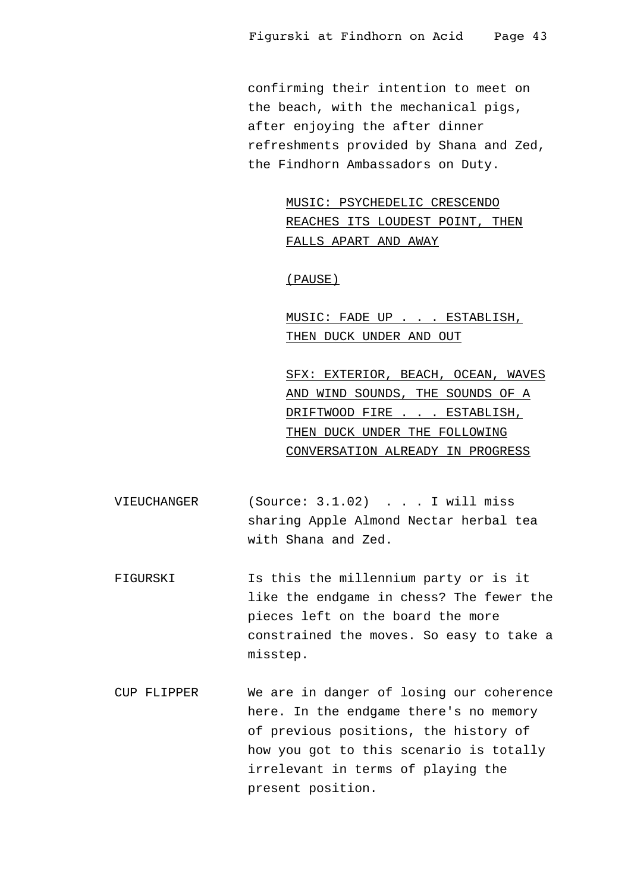confirming their intention to meet on the beach, with the mechanical pigs, after enjoying the after dinner refreshments provided by Shana and Zed, the Findhorn Ambassadors on Duty.

> MUSIC: PSYCHEDELIC CRESCENDO REACHES ITS LOUDEST POINT, THEN FALLS APART AND AWAY

(PAUSE)

MUSIC: FADE UP . . . ESTABLISH, THEN DUCK UNDER AND OUT

SFX: EXTERIOR, BEACH, OCEAN, WAVES AND WIND SOUNDS, THE SOUNDS OF A DRIFTWOOD FIRE . . . ESTABLISH, THEN DUCK UNDER THE FOLLOWING CONVERSATION ALREADY IN PROGRESS

- VIEUCHANGER (Source: 3.1.02) . . . I will miss sharing Apple Almond Nectar herbal tea with Shana and Zed.
- FIGURSKI Is this the millennium party or is it like the endgame in chess? The fewer the pieces left on the board the more constrained the moves. So easy to take a misstep.
- CUP FLIPPER We are in danger of losing our coherence here. In the endgame there's no memory of previous positions, the history of how you got to this scenario is totally irrelevant in terms of playing the present position.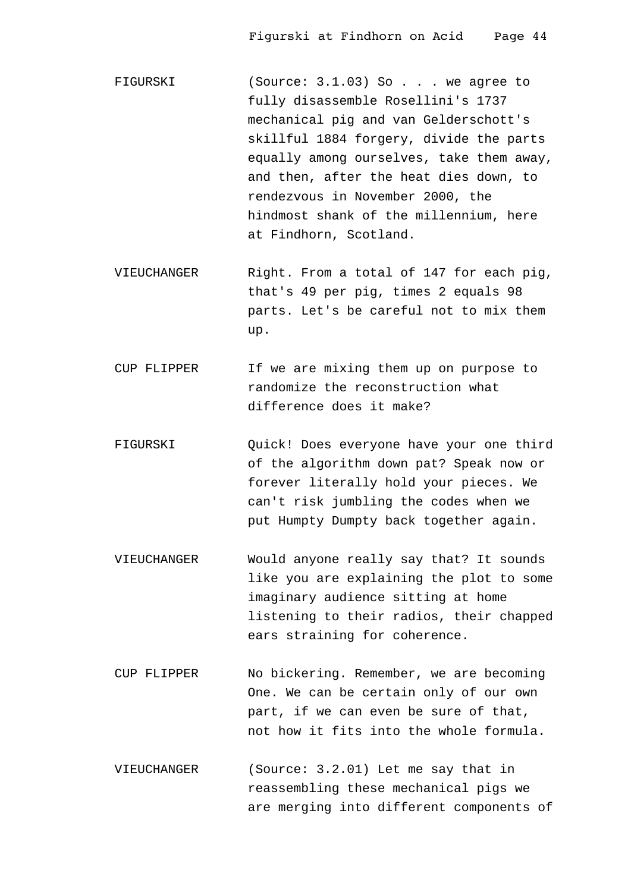FIGURSKI (Source: 3.1.03) So . . . we agree to fully disassemble Rosellini's 1737 mechanical pig and van Gelderschott's skillful 1884 forgery, divide the parts equally among ourselves, take them away, and then, after the heat dies down, to rendezvous in November 2000, the hindmost shank of the millennium, here at Findhorn, Scotland.

VIEUCHANGER Right. From a total of 147 for each pig, that's 49 per pig, times 2 equals 98 parts. Let's be careful not to mix them up.

- CUP FLIPPER If we are mixing them up on purpose to randomize the reconstruction what difference does it make?
- FIGURSKI Quick! Does everyone have your one third of the algorithm down pat? Speak now or forever literally hold your pieces. We can't risk jumbling the codes when we put Humpty Dumpty back together again.
- VIEUCHANGER Would anyone really say that? It sounds like you are explaining the plot to some imaginary audience sitting at home listening to their radios, their chapped ears straining for coherence.
- CUP FLIPPER No bickering. Remember, we are becoming One. We can be certain only of our own part, if we can even be sure of that, not how it fits into the whole formula.
- VIEUCHANGER (Source: 3.2.01) Let me say that in reassembling these mechanical pigs we are merging into different components of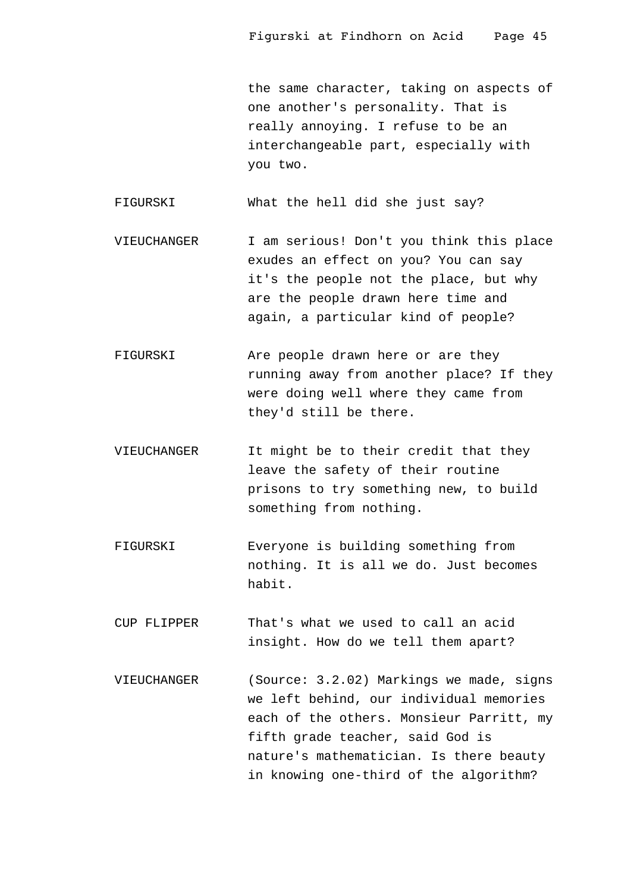the same character, taking on aspects of one another's personality. That is really annoying. I refuse to be an interchangeable part, especially with you two.

FIGURSKI What the hell did she just say?

VIEUCHANGER I am serious! Don't you think this place exudes an effect on you? You can say it's the people not the place, but why are the people drawn here time and again, a particular kind of people?

- FIGURSKI Are people drawn here or are they running away from another place? If they were doing well where they came from they'd still be there.
- VIEUCHANGER It might be to their credit that they leave the safety of their routine prisons to try something new, to build something from nothing.
- FIGURSKI Everyone is building something from nothing. It is all we do. Just becomes habit.

CUP FLIPPER That's what we used to call an acid insight. How do we tell them apart?

VIEUCHANGER (Source: 3.2.02) Markings we made, signs we left behind, our individual memories each of the others. Monsieur Parritt, my fifth grade teacher, said God is nature's mathematician. Is there beauty in knowing one-third of the algorithm?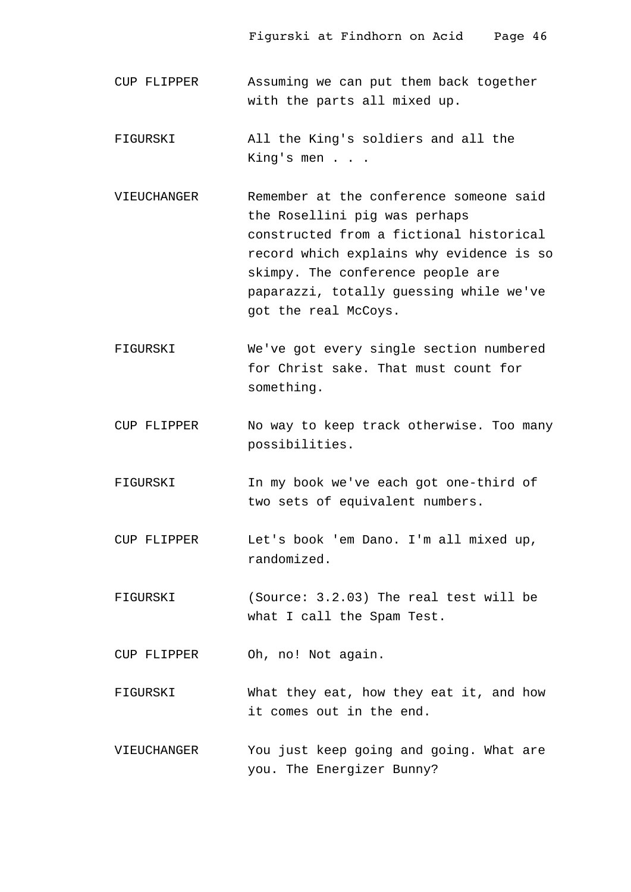- CUP FLIPPER Assuming we can put them back together with the parts all mixed up.
- FIGURSKI All the King's soldiers and all the King's men . . .
- VIEUCHANGER Remember at the conference someone said the Rosellini pig was perhaps constructed from a fictional historical record which explains why evidence is so skimpy. The conference people are paparazzi, totally guessing while we've got the real McCoys.
- FIGURSKI We've got every single section numbered for Christ sake. That must count for something.
- CUP FLIPPER No way to keep track otherwise. Too many possibilities.
- FIGURSKI In my book we've each got one-third of two sets of equivalent numbers.
- CUP FLIPPER Let's book 'em Dano. I'm all mixed up, randomized.
- FIGURSKI (Source: 3.2.03) The real test will be what I call the Spam Test.

CUP FLIPPER Oh, no! Not again.

- FIGURSKI What they eat, how they eat it, and how it comes out in the end.
- VIEUCHANGER You just keep going and going. What are you. The Energizer Bunny?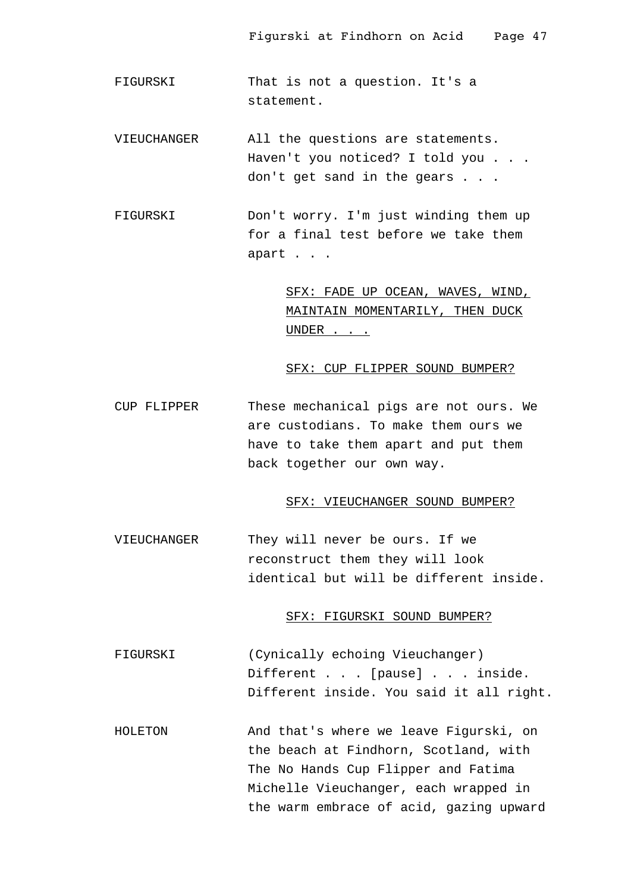- FIGURSKI That is not a question. It's a statement.
- VIEUCHANGER All the questions are statements. Haven't you noticed? I told you . . . don't get sand in the gears . . .
- FIGURSKI Don't worry. I'm just winding them up for a final test before we take them apart . . .

SFX: FADE UP OCEAN, WAVES, WIND, MAINTAIN MOMENTARILY, THEN DUCK UNDER . . .

#### SFX: CUP FLIPPER SOUND BUMPER?

CUP FLIPPER These mechanical pigs are not ours. We are custodians. To make them ours we have to take them apart and put them back together our own way.

# SFX: VIEUCHANGER SOUND BUMPER?

VIEUCHANGER They will never be ours. If we reconstruct them they will look identical but will be different inside.

## SFX: FIGURSKI SOUND BUMPER?

- FIGURSKI (Cynically echoing Vieuchanger) Different . . . [pause] . . . inside. Different inside. You said it all right.
- HOLETON And that's where we leave Figurski, on the beach at Findhorn, Scotland, with The No Hands Cup Flipper and Fatima Michelle Vieuchanger, each wrapped in the warm embrace of acid, gazing upward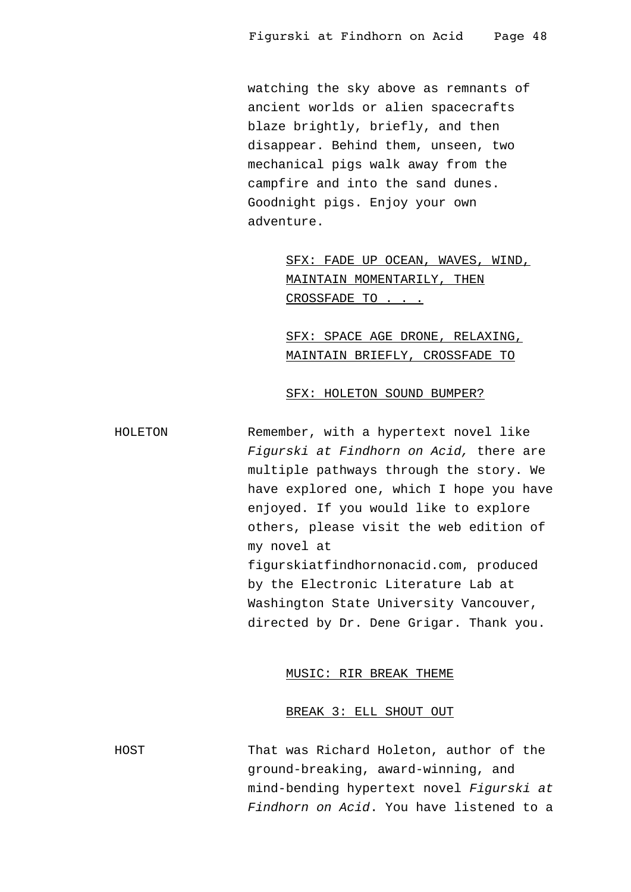watching the sky above as remnants of ancient worlds or alien spacecrafts blaze brightly, briefly, and then disappear. Behind them, unseen, two mechanical pigs walk away from the campfire and into the sand dunes. Goodnight pigs. Enjoy your own adventure.

> SFX: FADE UP OCEAN, WAVES, WIND, MAINTAIN MOMENTARILY, THEN CROSSFADE TO . . .

SFX: SPACE AGE DRONE, RELAXING, MAINTAIN BRIEFLY, CROSSFADE TO

#### SFX: HOLETON SOUND BUMPER?

HOLETON Remember, with a hypertext novel like Figurski at Findhorn on Acid, there are multiple pathways through the story. We have explored one, which I hope you have enjoyed. If you would like to explore others, please visit the web edition of my novel at figurskiatfindhornonacid.com, produced by the Electronic Literature Lab at Washington State University Vancouver, directed by Dr. Dene Grigar. Thank you.

#### MUSIC: RIR BREAK THEME

# BREAK 3: ELL SHOUT OUT

HOST That was Richard Holeton, author of the ground-breaking, award-winning, and mind-bending hypertext novel Figurski at Findhorn on Acid. You have listened to a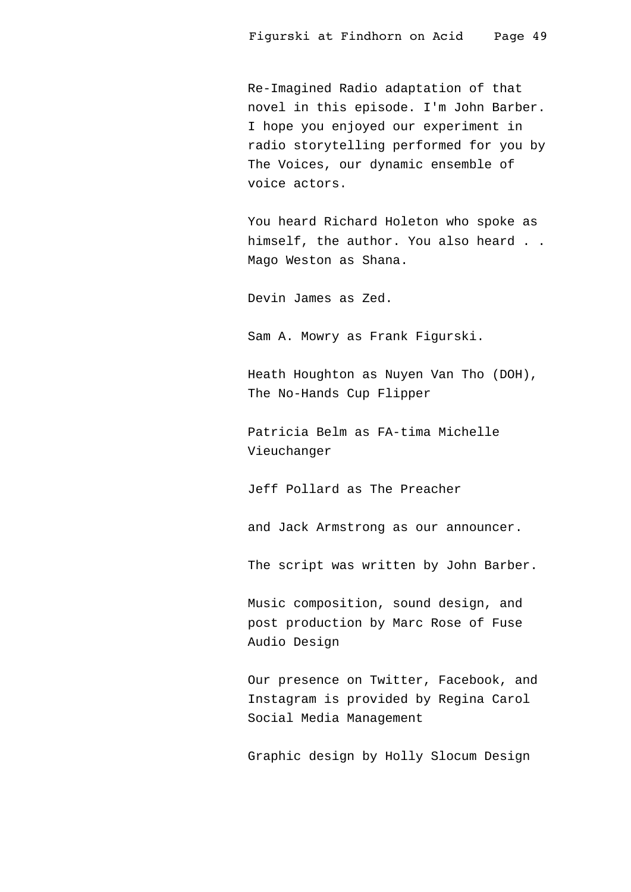Re-Imagined Radio adaptation of that novel in this episode. I'm John Barber. I hope you enjoyed our experiment in radio storytelling performed for you by The Voices, our dynamic ensemble of voice actors.

You heard Richard Holeton who spoke as himself, the author. You also heard . . Mago Weston as Shana.

Devin James as Zed.

Sam A. Mowry as Frank Figurski.

Heath Houghton as Nuyen Van Tho (DOH), The No-Hands Cup Flipper

Patricia Belm as FA-tima Michelle Vieuchanger

Jeff Pollard as The Preacher

and Jack Armstrong as our announcer.

The script was written by John Barber.

Music composition, sound design, and post production by Marc Rose of Fuse Audio Design

Our presence on Twitter, Facebook, and Instagram is provided by Regina Carol Social Media Management

Graphic design by Holly Slocum Design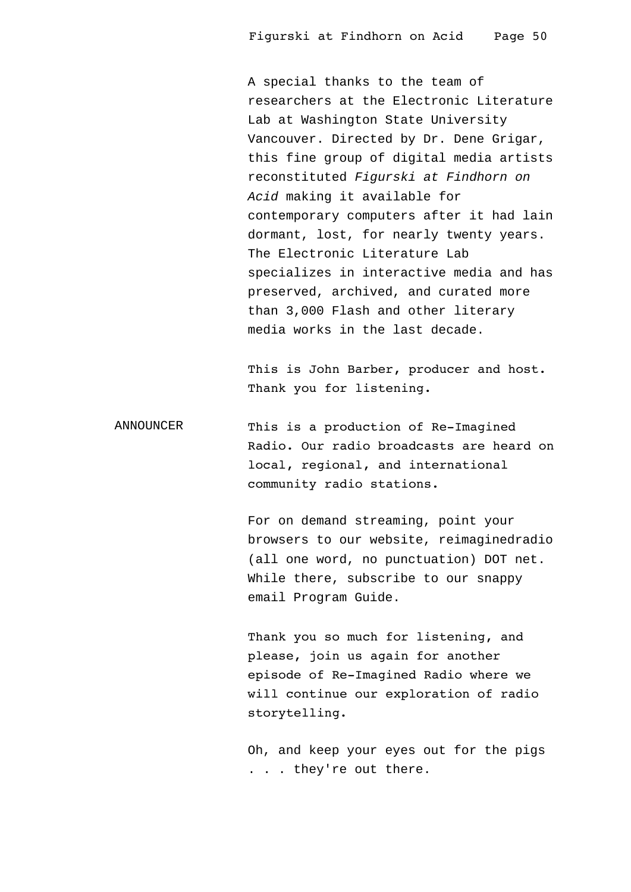A special thanks to the team of researchers at the Electronic Literature Lab at Washington State University Vancouver. Directed by Dr. Dene Grigar, this fine group of digital media artists reconstituted Figurski at Findhorn on Acid making it available for contemporary computers after it had lain dormant, lost, for nearly twenty years. The Electronic Literature Lab specializes in interactive media and has preserved, archived, and curated more than 3,000 Flash and other literary media works in the last decade.

This is John Barber, producer and host. Thank you for listening.

ANNOUNCER This is a production of Re-Imagined Radio. Our radio broadcasts are heard on local, regional, and international community radio stations.

> For on demand streaming, point your browsers to our website, reimaginedradio (all one word, no punctuation) DOT net. While there, subscribe to our snappy email Program Guide.

Thank you so much for listening, and please, join us again for another episode of Re-Imagined Radio where we will continue our exploration of radio storytelling.

Oh, and keep your eyes out for the pigs . . . they're out there.